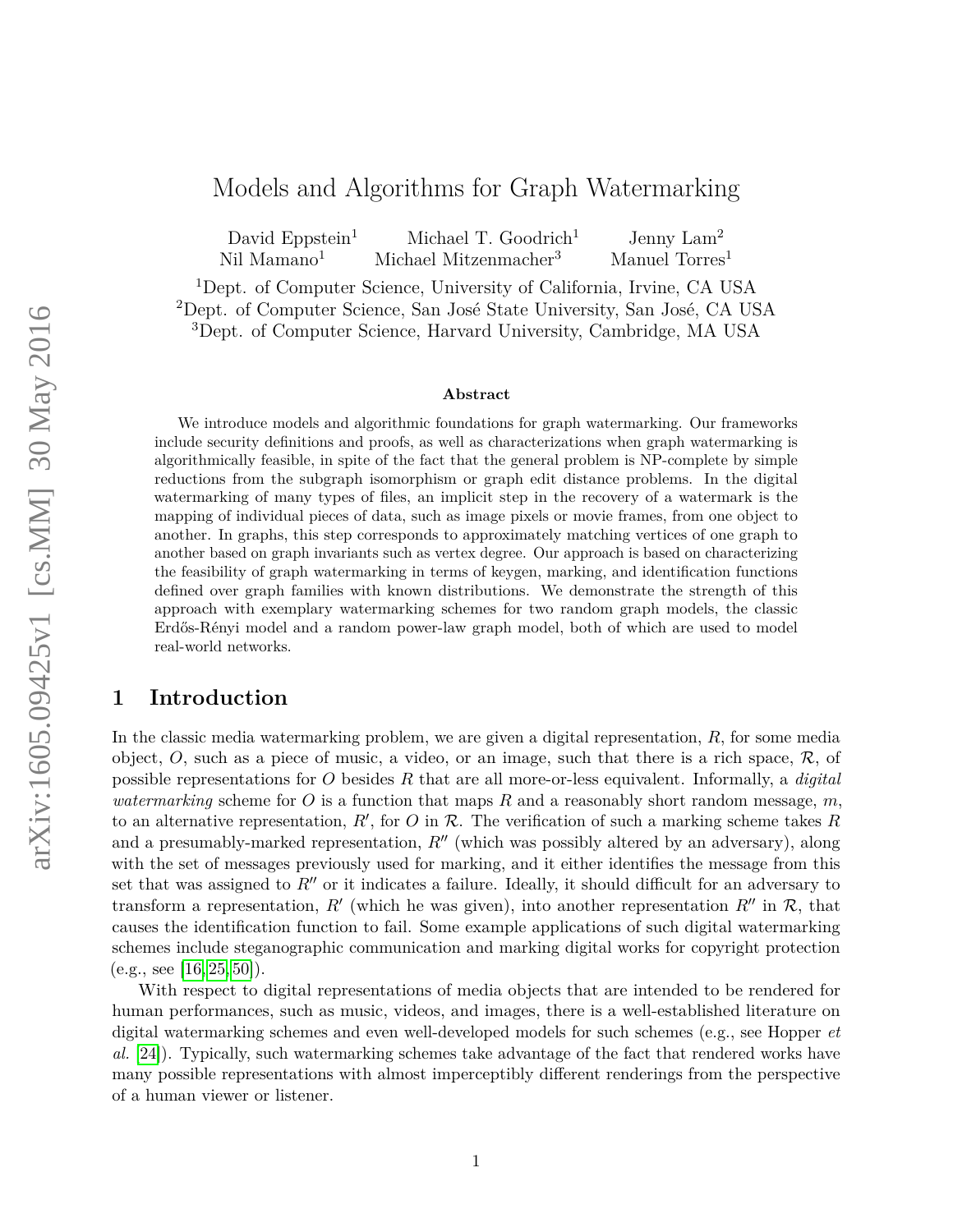# Models and Algorithms for Graph Watermarking

David Eppstein<sup>1</sup> Michael T. Goodrich<sup>1</sup> Jenny Lam<sup>2</sup> Nil Mamano<sup>1</sup> Michael Mitzenmacher<sup>3</sup> Manuel Torres<sup>1</sup>

<sup>1</sup>Dept. of Computer Science, University of California, Irvine, CA USA

<sup>2</sup>Dept. of Computer Science, San José State University, San José, CA USA <sup>3</sup>Dept. of Computer Science, Harvard University, Cambridge, MA USA

#### **Abstract**

We introduce models and algorithmic foundations for graph watermarking. Our frameworks include security definitions and proofs, as well as characterizations when graph watermarking is algorithmically feasible, in spite of the fact that the general problem is NP-complete by simple reductions from the subgraph isomorphism or graph edit distance problems. In the digital watermarking of many types of files, an implicit step in the recovery of a watermark is the mapping of individual pieces of data, such as image pixels or movie frames, from one object to another. In graphs, this step corresponds to approximately matching vertices of one graph to another based on graph invariants such as vertex degree. Our approach is based on characterizing the feasibility of graph watermarking in terms of keygen, marking, and identification functions defined over graph families with known distributions. We demonstrate the strength of this approach with exemplary watermarking schemes for two random graph models, the classic Erdős-Rényi model and a random power-law graph model, both of which are used to model real-world networks.

### **1 Introduction**

In the classic media watermarking problem, we are given a digital representation, *R*, for some media object,  $O$ , such as a piece of music, a video, or an image, such that there is a rich space,  $\mathcal{R}$ , of possible representations for *O* besides *R* that are all more-or-less equivalent. Informally, a *digital watermarking* scheme for *O* is a function that maps *R* and a reasonably short random message, *m*, to an alternative representation,  $R'$ , for  $O$  in  $R$ . The verification of such a marking scheme takes  $R$ and a presumably-marked representation,  $R''$  (which was possibly altered by an adversary), along with the set of messages previously used for marking, and it either identifies the message from this set that was assigned to  $R''$  or it indicates a failure. Ideally, it should difficult for an adversary to transform a representation,  $R'$  (which he was given), into another representation  $R''$  in  $\mathcal{R}$ , that causes the identification function to fail. Some example applications of such digital watermarking schemes include steganographic communication and marking digital works for copyright protection  $(e.g., see [16, 25, 50]).$  $(e.g., see [16, 25, 50]).$  $(e.g., see [16, 25, 50]).$  $(e.g., see [16, 25, 50]).$  $(e.g., see [16, 25, 50]).$ 

With respect to digital representations of media objects that are intended to be rendered for human performances, such as music, videos, and images, there is a well-established literature on digital watermarking schemes and even well-developed models for such schemes (e.g., see Hopper *et al.* [\[24\]](#page-23-1)). Typically, such watermarking schemes take advantage of the fact that rendered works have many possible representations with almost imperceptibly different renderings from the perspective of a human viewer or listener.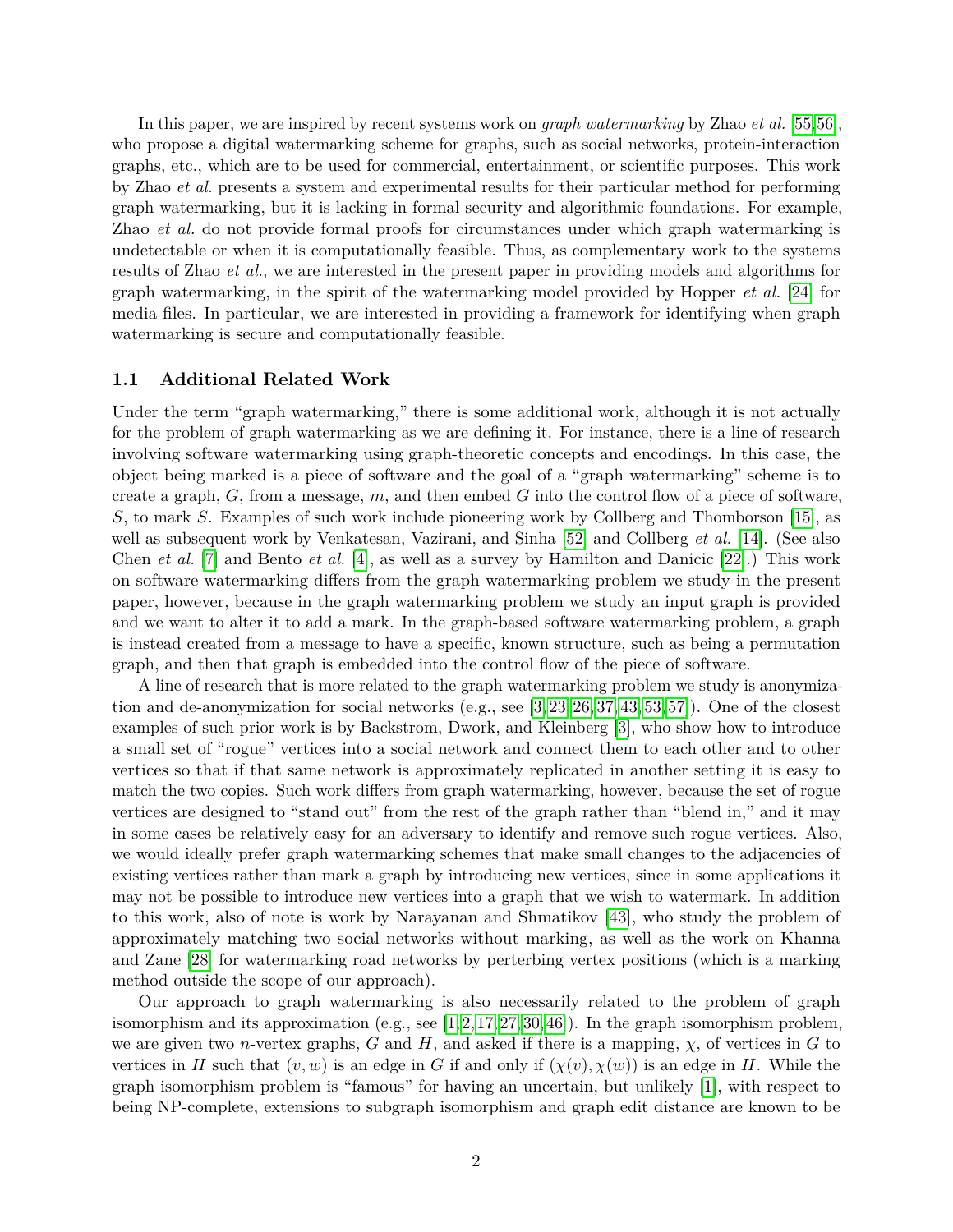In this paper, we are inspired by recent systems work on *graph watermarking* by Zhao *et al.* [\[55,](#page-25-0)[56\]](#page-25-1), who propose a digital watermarking scheme for graphs, such as social networks, protein-interaction graphs, etc., which are to be used for commercial, entertainment, or scientific purposes. This work by Zhao *et al.* presents a system and experimental results for their particular method for performing graph watermarking, but it is lacking in formal security and algorithmic foundations. For example, Zhao *et al.* do not provide formal proofs for circumstances under which graph watermarking is undetectable or when it is computationally feasible. Thus, as complementary work to the systems results of Zhao *et al.*, we are interested in the present paper in providing models and algorithms for graph watermarking, in the spirit of the watermarking model provided by Hopper *et al.* [\[24\]](#page-23-1) for media files. In particular, we are interested in providing a framework for identifying when graph watermarking is secure and computationally feasible.

#### **1.1 Additional Related Work**

Under the term "graph watermarking," there is some additional work, although it is not actually for the problem of graph watermarking as we are defining it. For instance, there is a line of research involving software watermarking using graph-theoretic concepts and encodings. In this case, the object being marked is a piece of software and the goal of a "graph watermarking" scheme is to create a graph, *G*, from a message, *m*, and then embed *G* into the control flow of a piece of software, *S*, to mark *S*. Examples of such work include pioneering work by Collberg and Thomborson [\[15\]](#page-22-1), as well as subsequent work by Venkatesan, Vazirani, and Sinha [\[52\]](#page-24-1) and Collberg *et al.* [\[14\]](#page-22-2). (See also Chen *et al.* [\[7\]](#page-22-3) and Bento *et al.* [\[4\]](#page-22-4), as well as a survey by Hamilton and Danicic [\[22\]](#page-23-2).) This work on software watermarking differs from the graph watermarking problem we study in the present paper, however, because in the graph watermarking problem we study an input graph is provided and we want to alter it to add a mark. In the graph-based software watermarking problem, a graph is instead created from a message to have a specific, known structure, such as being a permutation graph, and then that graph is embedded into the control flow of the piece of software.

A line of research that is more related to the graph watermarking problem we study is anonymization and de-anonymization for social networks (e.g., see [\[3,](#page-21-0) [23,](#page-23-3) [26,](#page-23-4) [37,](#page-24-2) [43,](#page-24-3) [53,](#page-24-4) [57\]](#page-25-2)). One of the closest examples of such prior work is by Backstrom, Dwork, and Kleinberg [\[3\]](#page-21-0), who show how to introduce a small set of "rogue" vertices into a social network and connect them to each other and to other vertices so that if that same network is approximately replicated in another setting it is easy to match the two copies. Such work differs from graph watermarking, however, because the set of rogue vertices are designed to "stand out" from the rest of the graph rather than "blend in," and it may in some cases be relatively easy for an adversary to identify and remove such rogue vertices. Also, we would ideally prefer graph watermarking schemes that make small changes to the adjacencies of existing vertices rather than mark a graph by introducing new vertices, since in some applications it may not be possible to introduce new vertices into a graph that we wish to watermark. In addition to this work, also of note is work by Narayanan and Shmatikov [\[43\]](#page-24-3), who study the problem of approximately matching two social networks without marking, as well as the work on Khanna and Zane [\[28\]](#page-23-5) for watermarking road networks by perterbing vertex positions (which is a marking method outside the scope of our approach).

Our approach to graph watermarking is also necessarily related to the problem of graph isomorphism and its approximation (e.g., see  $[1, 2, 17, 27, 30, 46]$  $[1, 2, 17, 27, 30, 46]$  $[1, 2, 17, 27, 30, 46]$  $[1, 2, 17, 27, 30, 46]$  $[1, 2, 17, 27, 30, 46]$  $[1, 2, 17, 27, 30, 46]$ ). In the graph isomorphism problem, we are given two *n*-vertex graphs, *G* and *H*, and asked if there is a mapping,  $\chi$ , of vertices in *G* to vertices in *H* such that  $(v, w)$  is an edge in *G* if and only if  $(\chi(v), \chi(w))$  is an edge in *H*. While the graph isomorphism problem is "famous" for having an uncertain, but unlikely [\[1\]](#page-21-1), with respect to being NP-complete, extensions to subgraph isomorphism and graph edit distance are known to be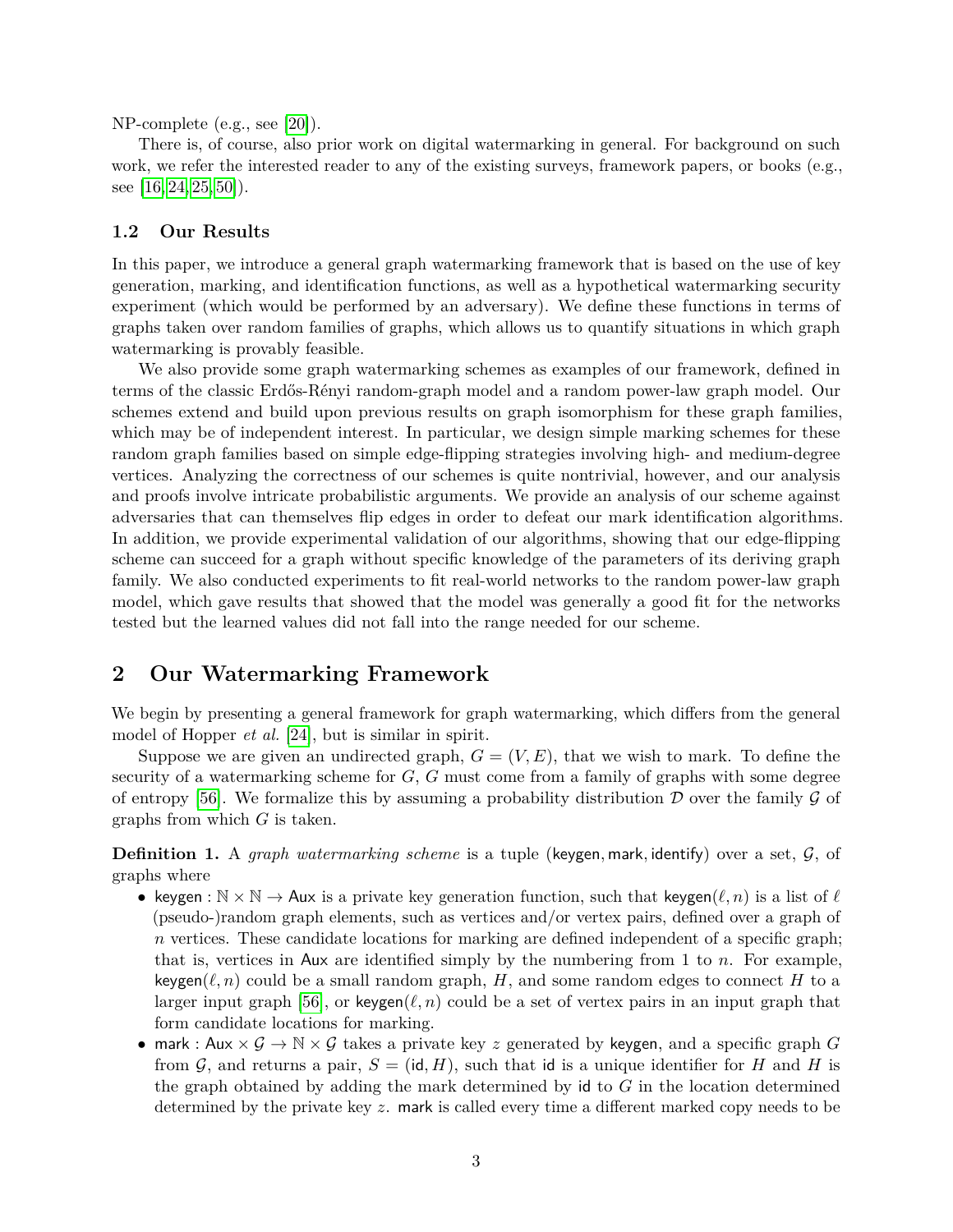NP-complete (e.g., see [\[20\]](#page-23-8)).

There is, of course, also prior work on digital watermarking in general. For background on such work, we refer the interested reader to any of the existing surveys, framework papers, or books (e.g., see  $[16, 24, 25, 50]$  $[16, 24, 25, 50]$  $[16, 24, 25, 50]$  $[16, 24, 25, 50]$ .

### **1.2 Our Results**

In this paper, we introduce a general graph watermarking framework that is based on the use of key generation, marking, and identification functions, as well as a hypothetical watermarking security experiment (which would be performed by an adversary). We define these functions in terms of graphs taken over random families of graphs, which allows us to quantify situations in which graph watermarking is provably feasible.

We also provide some graph watermarking schemes as examples of our framework, defined in terms of the classic Erdős-Rényi random-graph model and a random power-law graph model. Our schemes extend and build upon previous results on graph isomorphism for these graph families, which may be of independent interest. In particular, we design simple marking schemes for these random graph families based on simple edge-flipping strategies involving high- and medium-degree vertices. Analyzing the correctness of our schemes is quite nontrivial, however, and our analysis and proofs involve intricate probabilistic arguments. We provide an analysis of our scheme against adversaries that can themselves flip edges in order to defeat our mark identification algorithms. In addition, we provide experimental validation of our algorithms, showing that our edge-flipping scheme can succeed for a graph without specific knowledge of the parameters of its deriving graph family. We also conducted experiments to fit real-world networks to the random power-law graph model, which gave results that showed that the model was generally a good fit for the networks tested but the learned values did not fall into the range needed for our scheme.

### <span id="page-2-0"></span>**2 Our Watermarking Framework**

We begin by presenting a general framework for graph watermarking, which differs from the general model of Hopper *et al.* [\[24\]](#page-23-1), but is similar in spirit.

Suppose we are given an undirected graph,  $G = (V, E)$ , that we wish to mark. To define the security of a watermarking scheme for *G*, *G* must come from a family of graphs with some degree of entropy [\[56\]](#page-25-1). We formalize this by assuming a probability distribution  $\mathcal D$  over the family  $\mathcal G$  of graphs from which *G* is taken.

**Definition 1.** A *graph watermarking scheme* is a tuple (keygen*,* mark*,* identify) over a set, G, of graphs where

- keygen :  $\mathbb{N} \times \mathbb{N} \to \mathsf{Aux}$  is a private key generation function, such that keygen $(\ell, n)$  is a list of  $\ell$ (pseudo-)random graph elements, such as vertices and/or vertex pairs, defined over a graph of *n* vertices. These candidate locations for marking are defined independent of a specific graph; that is, vertices in Aux are identified simply by the numbering from 1 to *n*. For example, keygen( $\ell, n$ ) could be a small random graph, *H*, and some random edges to connect *H* to a larger input graph [\[56\]](#page-25-1), or keygen( $\ell, n$ ) could be a set of vertex pairs in an input graph that form candidate locations for marking.
- mark : Aux  $\times$   $\mathcal{G}$   $\rightarrow$  N  $\times$  G takes a private key *z* generated by keygen, and a specific graph G from  $\mathcal{G}$ , and returns a pair,  $S = (\mathsf{id}, H)$ , such that id is a unique identifier for *H* and *H* is the graph obtained by adding the mark determined by id to *G* in the location determined determined by the private key *z*. mark is called every time a different marked copy needs to be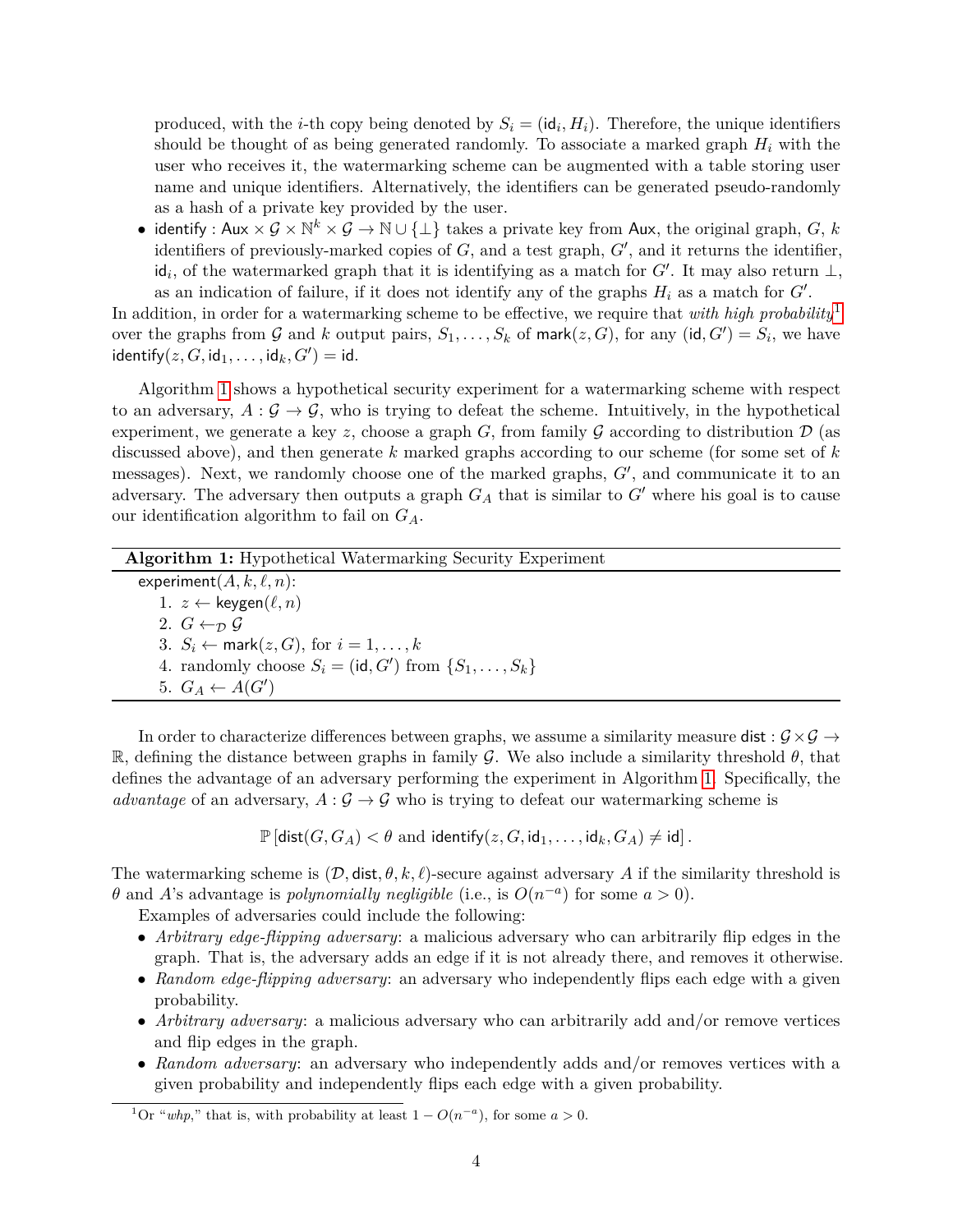produced, with the *i*-th copy being denoted by  $S_i = (\mathsf{id}_i, H_i)$ . Therefore, the unique identifiers should be thought of as being generated randomly. To associate a marked graph *H<sup>i</sup>* with the user who receives it, the watermarking scheme can be augmented with a table storing user name and unique identifiers. Alternatively, the identifiers can be generated pseudo-randomly as a hash of a private key provided by the user.

• identify : Aux  $\times$   $G \times \mathbb{N}^k \times G \to \mathbb{N} \cup \{\perp\}$  takes a private key from Aux, the original graph,  $G, k$ identifiers of previously-marked copies of  $G$ , and a test graph,  $G'$ , and it returns the identifier,  $id_i$ , of the watermarked graph that it is identifying as a match for *G*<sup> $\prime$ </sup>. It may also return  $\perp$ , as an indication of failure, if it does not identify any of the graphs  $H_i$  as a match for  $G'$ .

In addition, in order for a watermarking scheme to be effective, we require that *with high probability*[1](#page-3-0) over the graphs from G and k output pairs,  $S_1, \ldots, S_k$  of mark $(z, G)$ , for any  $(\mathsf{id}, G') = S_i$ , we have  $\mathsf{identity}(z, G, \mathsf{id}_1, \dots, \mathsf{id}_k, G') = \mathsf{id}.$ 

Algorithm [1](#page-3-1) shows a hypothetical security experiment for a watermarking scheme with respect to an adversary,  $A: \mathcal{G} \to \mathcal{G}$ , who is trying to defeat the scheme. Intuitively, in the hypothetical experiment, we generate a key *z*, choose a graph  $G$ , from family  $G$  according to distribution  $D$  (as discussed above), and then generate *k* marked graphs according to our scheme (for some set of *k* messages). Next, we randomly choose one of the marked graphs,  $G'$ , and communicate it to an adversary. The adversary then outputs a graph  $G_A$  that is similar to  $G'$  where his goal is to cause our identification algorithm to fail on *GA*.

| <b>Algorithm 1:</b> Hypothetical Watermarking Security Experiment      |
|------------------------------------------------------------------------|
| experiment $(A, k, \ell, n)$ :                                         |
| 1. $z \leftarrow \text{keygen}(\ell, n)$                               |
| 2. $G \leftarrow_{\mathcal{D}} \mathcal{G}$                            |
| 3. $S_i \leftarrow$ mark $(z, G)$ , for $i = 1, \ldots, k$             |
| 4. randomly choose $S_i = (\text{id}, G')$ from $\{S_1, \ldots, S_k\}$ |
| 5. $G_A \leftarrow A(G')$                                              |
|                                                                        |

<span id="page-3-1"></span>In order to characterize differences between graphs, we assume a similarity measure dist :  $\mathcal{G} \times \mathcal{G} \rightarrow$ R, defining the distance between graphs in family G. We also include a similarity threshold  $\theta$ , that defines the advantage of an adversary performing the experiment in Algorithm [1.](#page-3-1) Specifically, the *advantage* of an adversary,  $A: \mathcal{G} \to \mathcal{G}$  who is trying to defeat our watermarking scheme is

 $\mathbb{P}[\text{dist}(G, G_A) < \theta \text{ and identify}(z, G, \text{id}_1, \ldots, \text{id}_k, G_A) \neq \text{id}].$ 

The watermarking scheme is  $(D, \text{dist}, \theta, k, \ell)$ -secure against adversary *A* if the similarity threshold is *θ* and *A*'s advantage is *polynomially negligible* (i.e., is  $O(n^{-a})$  for some  $a > 0$ ).

Examples of adversaries could include the following:

- *Arbitrary edge-flipping adversary*: a malicious adversary who can arbitrarily flip edges in the graph. That is, the adversary adds an edge if it is not already there, and removes it otherwise.
- *Random edge-flipping adversary*: an adversary who independently flips each edge with a given probability.
- *Arbitrary adversary*: a malicious adversary who can arbitrarily add and/or remove vertices and flip edges in the graph.
- *Random adversary*: an adversary who independently adds and/or removes vertices with a given probability and independently flips each edge with a given probability.

<span id="page-3-0"></span><sup>&</sup>lt;sup>1</sup>Or "*whp*," that is, with probability at least  $1 - O(n^{-a})$ , for some  $a > 0$ .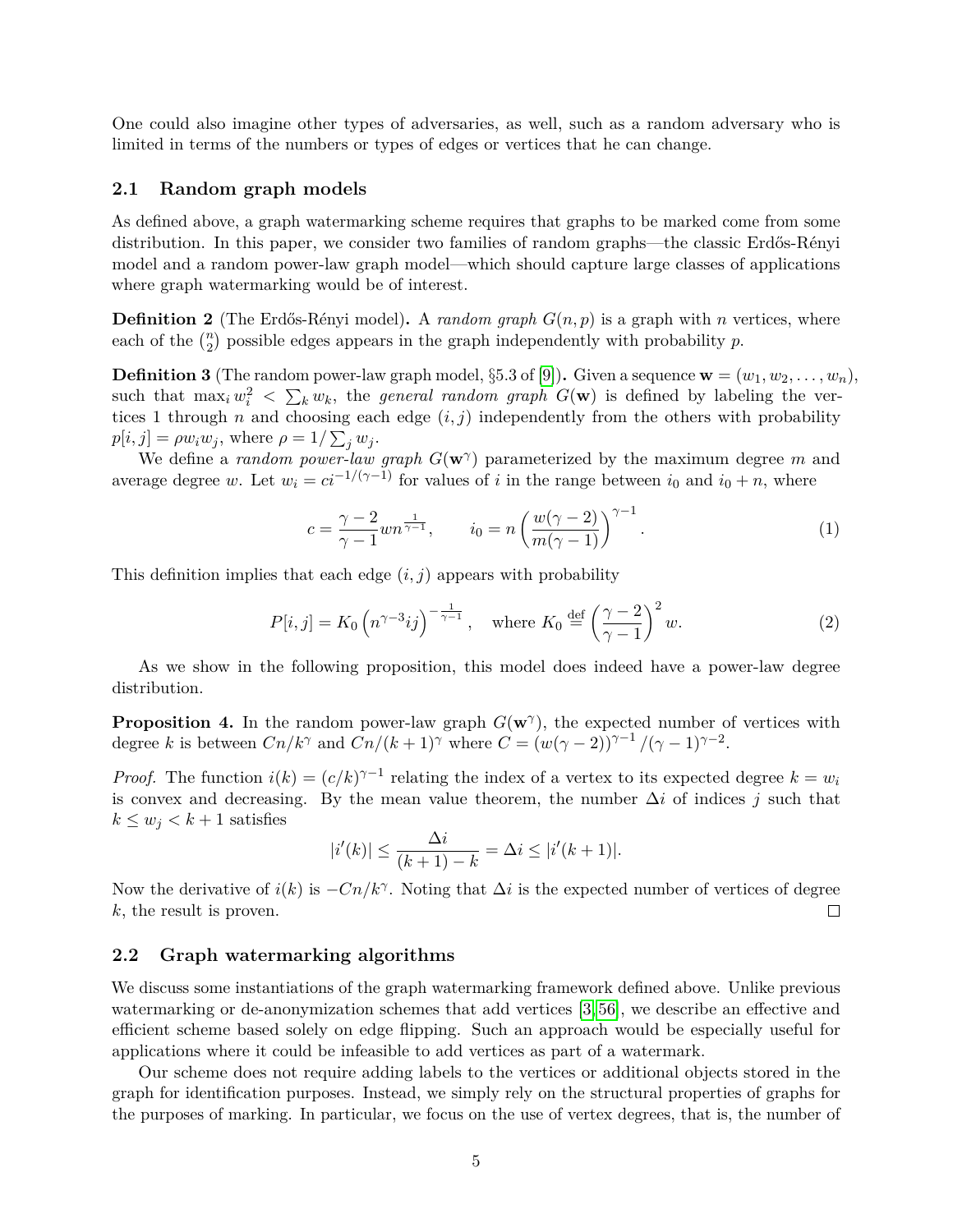One could also imagine other types of adversaries, as well, such as a random adversary who is limited in terms of the numbers or types of edges or vertices that he can change.

### **2.1 Random graph models**

As defined above, a graph watermarking scheme requires that graphs to be marked come from some distribution. In this paper, we consider two families of random graphs—the classic Erdős-Rényi model and a random power-law graph model—which should capture large classes of applications where graph watermarking would be of interest.

**Definition 2** (The Erdős-Rényi model). A *random graph*  $G(n, p)$  is a graph with *n* vertices, where each of the  $\binom{n}{2}$  possible edges appears in the graph independently with probability *p*.

<span id="page-4-0"></span>**Definition 3** (The random power-law graph model, §5.3 of [\[9\]](#page-22-6)). Given a sequence  $\mathbf{w} = (w_1, w_2, \dots, w_n)$ , such that  $\max_i w_i^2 < \sum_k w_k$ , the *general random graph*  $G(\mathbf{w})$  is defined by labeling the vertices 1 through *n* and choosing each edge  $(i, j)$  independently from the others with probability  $p[i, j] = \rho w_i w_j$ , where  $\rho = 1/\sum_j w_j$ .

We define a *random power-law graph G*(**w***<sup>γ</sup>* ) parameterized by the maximum degree *m* and average degree *w*. Let  $w_i = ci^{-1/(\gamma - 1)}$  for values of *i* in the range between *i*<sub>0</sub> and *i*<sub>0</sub> + *n*, where

<span id="page-4-2"></span><span id="page-4-1"></span>
$$
c = \frac{\gamma - 2}{\gamma - 1} w n^{\frac{1}{\gamma - 1}}, \qquad i_0 = n \left( \frac{w(\gamma - 2)}{m(\gamma - 1)} \right)^{\gamma - 1}.
$$
 (1)

This definition implies that each edge (*i, j*) appears with probability

$$
P[i,j] = K_0 \left( n^{\gamma - 3} i j \right)^{-\frac{1}{\gamma - 1}}, \quad \text{where } K_0 \stackrel{\text{def}}{=} \left( \frac{\gamma - 2}{\gamma - 1} \right)^2 w. \tag{2}
$$

As we show in the following proposition, this model does indeed have a power-law degree distribution.

**Proposition 4.** In the random power-law graph  $G(w^{\gamma})$ , the expected number of vertices with degree *k* is between  $Cn/k^{\gamma}$  and  $Cn/(k+1)^{\gamma}$  where  $C = (w(\gamma - 2))^{\gamma - 1}/(\gamma - 1)^{\gamma - 2}$ .

*Proof.* The function  $i(k) = (c/k)^{\gamma-1}$  relating the index of a vertex to its expected degree  $k = w_i$ is convex and decreasing. By the mean value theorem, the number ∆*i* of indices *j* such that  $k \leq w_j < k+1$  satisfies

$$
|i'(k)| \le \frac{\Delta i}{(k+1) - k} = \Delta i \le |i'(k+1)|.
$$

Now the derivative of  $i(k)$  is  $-Cn/k^{\gamma}$ . Noting that  $\Delta i$  is the expected number of vertices of degree *k*, the result is proven.  $\Box$ 

#### **2.2 Graph watermarking algorithms**

We discuss some instantiations of the graph watermarking framework defined above. Unlike previous watermarking or de-anonymization schemes that add vertices [\[3,](#page-21-0) [56\]](#page-25-1), we describe an effective and efficient scheme based solely on edge flipping. Such an approach would be especially useful for applications where it could be infeasible to add vertices as part of a watermark.

Our scheme does not require adding labels to the vertices or additional objects stored in the graph for identification purposes. Instead, we simply rely on the structural properties of graphs for the purposes of marking. In particular, we focus on the use of vertex degrees, that is, the number of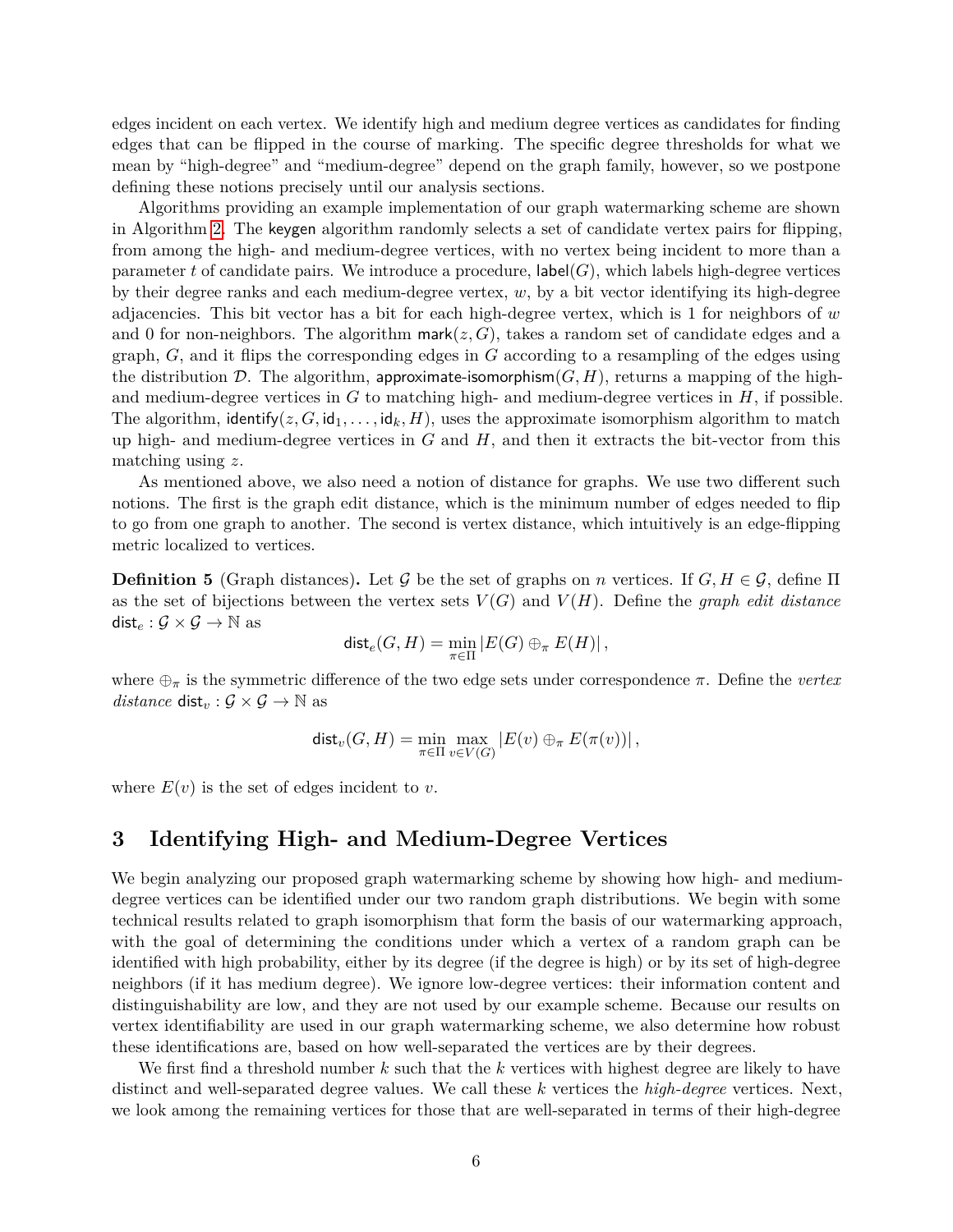edges incident on each vertex. We identify high and medium degree vertices as candidates for finding edges that can be flipped in the course of marking. The specific degree thresholds for what we mean by "high-degree" and "medium-degree" depend on the graph family, however, so we postpone defining these notions precisely until our analysis sections.

Algorithms providing an example implementation of our graph watermarking scheme are shown in Algorithm [2.](#page-6-0) The keygen algorithm randomly selects a set of candidate vertex pairs for flipping, from among the high- and medium-degree vertices, with no vertex being incident to more than a parameter t of candidate pairs. We introduce a procedure,  $\textsf{label}(G)$ , which labels high-degree vertices by their degree ranks and each medium-degree vertex, *w*, by a bit vector identifying its high-degree adjacencies. This bit vector has a bit for each high-degree vertex, which is 1 for neighbors of *w* and 0 for non-neighbors. The algorithm mark $(z, G)$ , takes a random set of candidate edges and a graph, *G*, and it flips the corresponding edges in *G* according to a resampling of the edges using the distribution D. The algorithm, approximate-isomorphism $(G, H)$ , returns a mapping of the highand medium-degree vertices in *G* to matching high- and medium-degree vertices in *H*, if possible. The algorithm, identify( $z, G, id_1, \ldots, id_k, H$ ), uses the approximate isomorphism algorithm to match up high- and medium-degree vertices in *G* and *H*, and then it extracts the bit-vector from this matching using *z*.

As mentioned above, we also need a notion of distance for graphs. We use two different such notions. The first is the graph edit distance, which is the minimum number of edges needed to flip to go from one graph to another. The second is vertex distance, which intuitively is an edge-flipping metric localized to vertices.

**Definition 5** (Graph distances). Let G be the set of graphs on *n* vertices. If  $G, H \in \mathcal{G}$ , define  $\Pi$ as the set of bijections between the vertex sets  $V(G)$  and  $V(H)$ . Define the *graph edit distance* dist<sub>e</sub> :  $\mathcal{G} \times \mathcal{G} \rightarrow \mathbb{N}$  as

$$
\operatorname{dist}_e(G,H)=\min_{\pi\in\Pi}|E(G)\oplus_\pi E(H)|\,,
$$

where ⊕*<sup>π</sup>* is the symmetric difference of the two edge sets under correspondence *π*. Define the *vertex distance* dist<sub>*v*</sub> :  $\mathcal{G} \times \mathcal{G} \rightarrow \mathbb{N}$  as

$$
\text{dist}_{v}(G, H) = \min_{\pi \in \Pi} \max_{v \in V(G)} |E(v) \oplus_{\pi} E(\pi(v))|,
$$

where  $E(v)$  is the set of edges incident to *v*.

## **3 Identifying High- and Medium-Degree Vertices**

We begin analyzing our proposed graph watermarking scheme by showing how high- and mediumdegree vertices can be identified under our two random graph distributions. We begin with some technical results related to graph isomorphism that form the basis of our watermarking approach, with the goal of determining the conditions under which a vertex of a random graph can be identified with high probability, either by its degree (if the degree is high) or by its set of high-degree neighbors (if it has medium degree). We ignore low-degree vertices: their information content and distinguishability are low, and they are not used by our example scheme. Because our results on vertex identifiability are used in our graph watermarking scheme, we also determine how robust these identifications are, based on how well-separated the vertices are by their degrees.

We first find a threshold number *k* such that the *k* vertices with highest degree are likely to have distinct and well-separated degree values. We call these *k* vertices the *high-degree* vertices. Next, we look among the remaining vertices for those that are well-separated in terms of their high-degree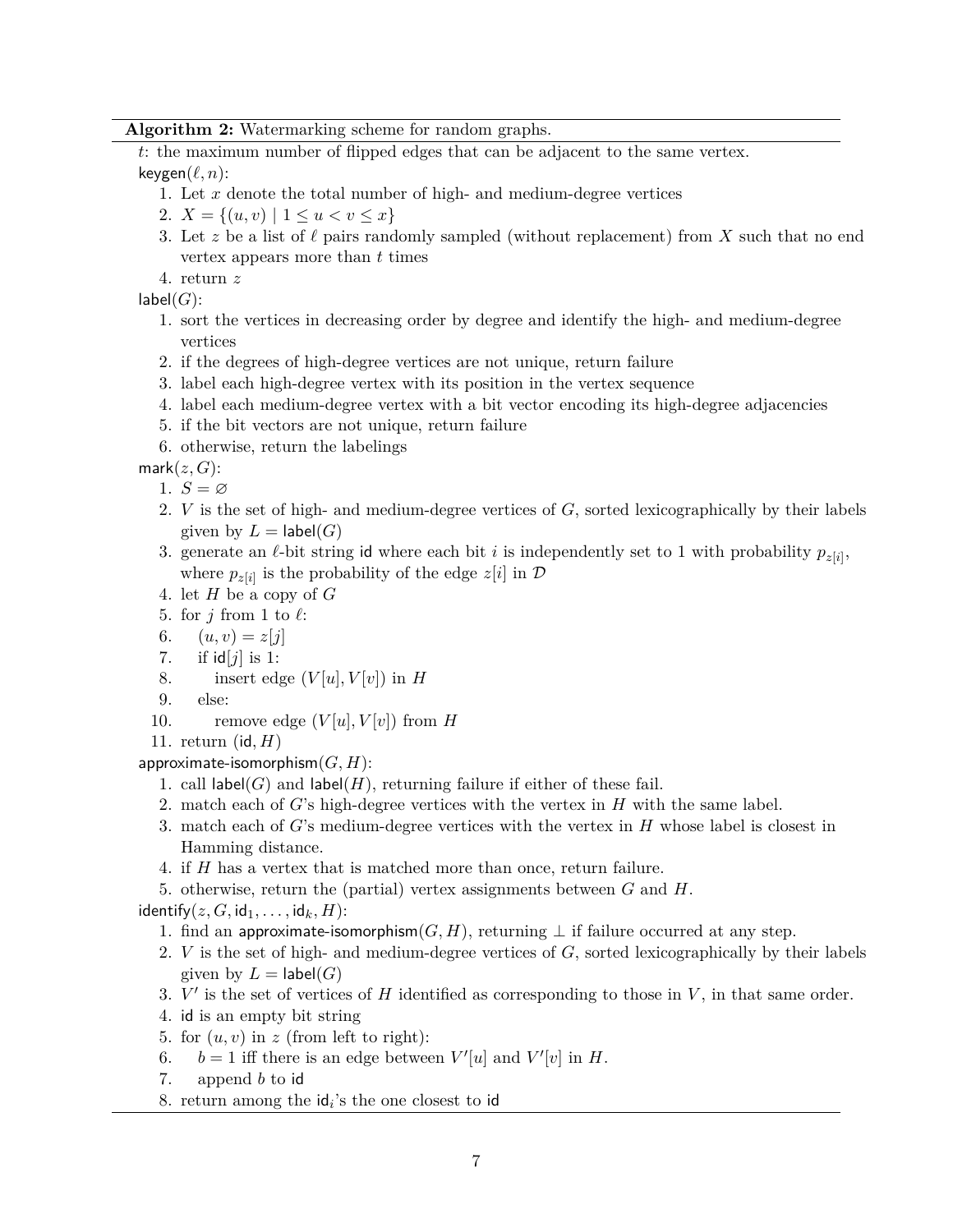### **Algorithm 2:** Watermarking scheme for random graphs.

*t*: the maximum number of flipped edges that can be adjacent to the same vertex.  $keygen(\ell, n):$ 

- 1. Let *x* denote the total number of high- and medium-degree vertices
- 2.  $X = \{(u, v) \mid 1 \le u \le v \le x\}$
- 3. Let z be a list of  $\ell$  pairs randomly sampled (without replacement) from X such that no end vertex appears more than *t* times
- 4. return *z*

 $label(G)$ :

- 1. sort the vertices in decreasing order by degree and identify the high- and medium-degree vertices
- 2. if the degrees of high-degree vertices are not unique, return failure
- 3. label each high-degree vertex with its position in the vertex sequence
- 4. label each medium-degree vertex with a bit vector encoding its high-degree adjacencies
- 5. if the bit vectors are not unique, return failure
- 6. otherwise, return the labelings

 $mark(z, G)$ :

- 1.  $S = \varnothing$
- 2. *V* is the set of high- and medium-degree vertices of *G*, sorted lexicographically by their labels given by  $L = \textsf{label}(G)$
- 3. generate an  $\ell$ -bit string id where each bit *i* is independently set to 1 with probability  $p_{z[i]}$ , where  $p_{z[i]}$  is the probability of the edge  $z[i]$  in  $D$
- 4. let *H* be a copy of *G*
- 5. for  $j$  from 1 to  $\ell$ :
- 6.  $(u, v) = z[i]$
- 7. if id[*j*] is 1:
- 8. insert edge  $(V[u], V[v])$  in *H*
- 9. else:
- 10. remove edge  $(V[u], V[v])$  from *H*

11. return (id*, H*)

approximate-isomorphism(*G, H*):

- 1. call  $\mathsf{label}(G)$  and  $\mathsf{label}(H)$ , returning failure if either of these fail.
- 2. match each of *G*'s high-degree vertices with the vertex in *H* with the same label.
- 3. match each of *G*'s medium-degree vertices with the vertex in *H* whose label is closest in Hamming distance.
- 4. if *H* has a vertex that is matched more than once, return failure.
- 5. otherwise, return the (partial) vertex assignments between *G* and *H*.

 $identity(z, G, id_1, \ldots, id_k, H)$ :

- 1. find an approximate-isomorphism $(G, H)$ , returning  $\perp$  if failure occurred at any step.
- 2. *V* is the set of high- and medium-degree vertices of *G*, sorted lexicographically by their labels given by  $L = \textsf{label}(G)$
- 3.  $V'$  is the set of vertices of  $H$  identified as corresponding to those in  $V$ , in that same order.
- 4. id is an empty bit string
- 5. for  $(u, v)$  in  $z$  (from left to right):
- 6.  $b = 1$  iff there is an edge between  $V'[u]$  and  $V'[v]$  in  $H$ .
- 7. append *b* to id
- <span id="page-6-0"></span>8. return among the id*<sup>i</sup>* 's the one closest to id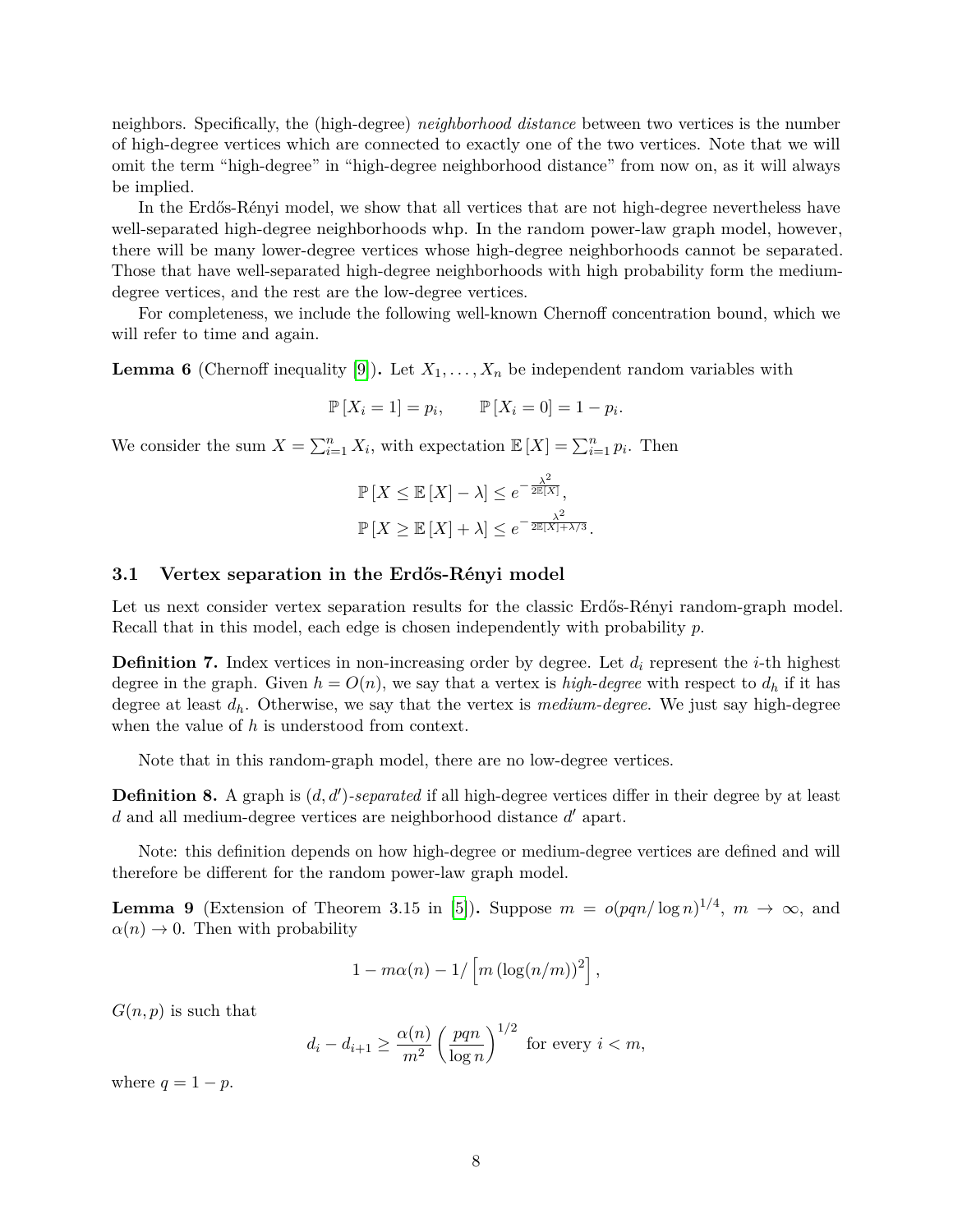neighbors. Specifically, the (high-degree) *neighborhood distance* between two vertices is the number of high-degree vertices which are connected to exactly one of the two vertices. Note that we will omit the term "high-degree" in "high-degree neighborhood distance" from now on, as it will always be implied.

In the Erdős-Rényi model, we show that all vertices that are not high-degree nevertheless have well-separated high-degree neighborhoods whp. In the random power-law graph model, however, there will be many lower-degree vertices whose high-degree neighborhoods cannot be separated. Those that have well-separated high-degree neighborhoods with high probability form the mediumdegree vertices, and the rest are the low-degree vertices.

For completeness, we include the following well-known Chernoff concentration bound, which we will refer to time and again.

<span id="page-7-1"></span>**Lemma 6** (Chernoff inequality [\[9\]](#page-22-6)). Let  $X_1, \ldots, X_n$  be independent random variables with

$$
\mathbb{P}[X_i = 1] = p_i, \qquad \mathbb{P}[X_i = 0] = 1 - p_i.
$$

We consider the sum  $X = \sum_{i=1}^{n} X_i$ , with expectation  $\mathbb{E}[X] = \sum_{i=1}^{n} p_i$ . Then

$$
\mathbb{P}\left[X \le \mathbb{E}\left[X\right] - \lambda\right] \le e^{-\frac{\lambda^2}{2\mathbb{E}\left[X\right]}},
$$
  

$$
\mathbb{P}\left[X \ge \mathbb{E}\left[X\right] + \lambda\right] \le e^{-\frac{\lambda^2}{2\mathbb{E}\left[X\right] + \lambda/3}}.
$$

### **3.1 Vertex separation in the Erdős-Rényi model**

Let us next consider vertex separation results for the classic Erdős-Rényi random-graph model. Recall that in this model, each edge is chosen independently with probability *p*.

**Definition 7.** Index vertices in non-increasing order by degree. Let *d<sup>i</sup>* represent the *i*-th highest degree in the graph. Given  $h = O(n)$ , we say that a vertex is *high-degree* with respect to  $d_h$  if it has degree at least *dh*. Otherwise, we say that the vertex is *medium-degree*. We just say high-degree when the value of *h* is understood from context.

Note that in this random-graph model, there are no low-degree vertices.

**Definition 8.** A graph is  $(d, d')$ -separated if all high-degree vertices differ in their degree by at least *d* and all medium-degree vertices are neighborhood distance  $d'$  apart.

Note: this definition depends on how high-degree or medium-degree vertices are defined and will therefore be different for the random power-law graph model.

<span id="page-7-0"></span>**Lemma 9** (Extension of Theorem 3.15 in [\[5\]](#page-22-7)). Suppose  $m = o(pqn/\log n)^{1/4}$ ,  $m \to \infty$ , and  $\alpha(n) \to 0$ . Then with probability

$$
1 - m\alpha(n) - 1/\left[m\left(\log(n/m)\right)^2\right],
$$

 $G(n, p)$  is such that

$$
d_i - d_{i+1} \ge \frac{\alpha(n)}{m^2} \left(\frac{pqn}{\log n}\right)^{1/2} \text{ for every } i < m,
$$

where  $q = 1 - p$ .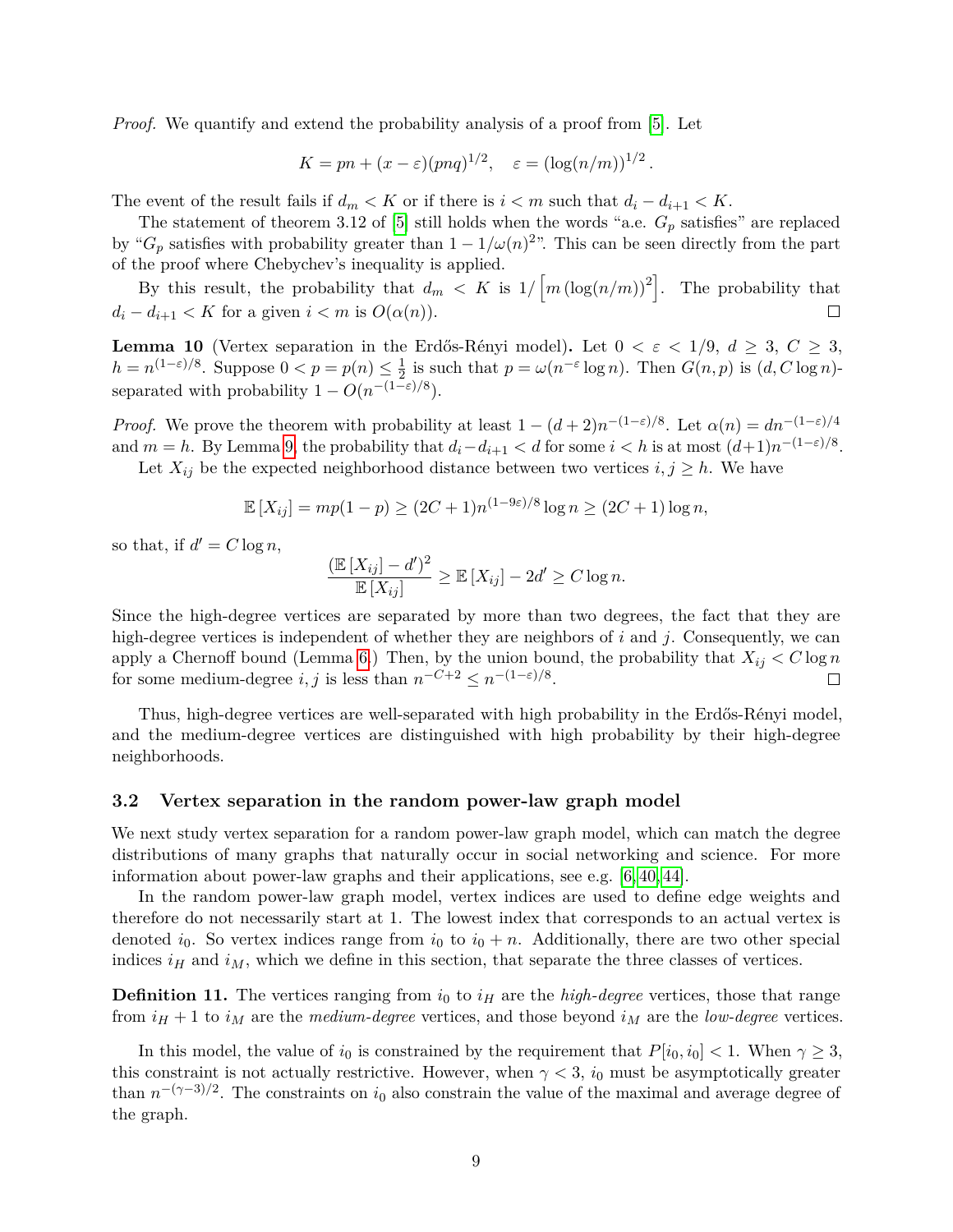*Proof.* We quantify and extend the probability analysis of a proof from [\[5\]](#page-22-7). Let

$$
K = pn + (x - \varepsilon)(pnq)^{1/2}, \quad \varepsilon = (\log(n/m))^{1/2}.
$$

The event of the result fails if  $d_m < K$  or if there is  $i < m$  such that  $d_i - d_{i+1} < K$ .

The statement of theorem 3.12 of [\[5\]](#page-22-7) still holds when the words "a.e. *G<sup>p</sup>* satisfies" are replaced by " $G_p$  satisfies with probability greater than  $1 - 1/\omega(n)^{2}$ ". This can be seen directly from the part of the proof where Chebychev's inequality is applied.

By this result, the probability that  $d_m < K$  is  $1/\left[m(\log(n/m))^2\right]$ . The probability that  $d_i - d_{i+1} < K$  for a given  $i < m$  is  $O(\alpha(n)).$  $\Box$ 

<span id="page-8-0"></span>**Lemma 10** (Vertex separation in the Erdős-Rényi model). Let  $0 < \varepsilon < 1/9$ ,  $d \geq 3$ ,  $C \geq 3$ ,  $h = n^{(1-\varepsilon)/8}$ . Suppose  $0 < p = p(n) \leq \frac{1}{2}$  $\frac{1}{2}$  is such that  $p = \omega(n^{-\varepsilon} \log n)$ . Then  $G(n, p)$  is  $(d, C \log n)$ separated with probability  $1 - O(n^{-(1-\varepsilon)/8})$ .

*Proof.* We prove the theorem with probability at least  $1 - (d+2)n^{-(1-\epsilon)/8}$ . Let  $\alpha(n) = dn^{-(1-\epsilon)/4}$ and  $m = h$ . By Lemma [9,](#page-7-0) the probability that  $d_i - d_{i+1} < d$  for some  $i < h$  is at most  $(d+1)n^{-(1-\varepsilon)/8}$ .

Let  $X_{ij}$  be the expected neighborhood distance between two vertices  $i, j \geq h$ . We have

$$
\mathbb{E}[X_{ij}] = mp(1-p) \ge (2C+1)n^{(1-9\varepsilon)/8} \log n \ge (2C+1) \log n,
$$

so that, if  $d' = C \log n$ ,

$$
\frac{(\mathbb{E}[X_{ij}] - d')^2}{\mathbb{E}[X_{ij}]} \ge \mathbb{E}[X_{ij}] - 2d' \ge C \log n.
$$

Since the high-degree vertices are separated by more than two degrees, the fact that they are high-degree vertices is independent of whether they are neighbors of *i* and *j*. Consequently, we can apply a Chernoff bound (Lemma [6.](#page-7-1)) Then, by the union bound, the probability that  $X_{ij} < C \log n$ for some medium-degree *i*, *j* is less than  $n^{-C+2} \leq n^{-(1-\varepsilon)/8}$ .

Thus, high-degree vertices are well-separated with high probability in the Erdős-Rényi model, and the medium-degree vertices are distinguished with high probability by their high-degree neighborhoods.

#### **3.2 Vertex separation in the random power-law graph model**

We next study vertex separation for a random power-law graph model, which can match the degree distributions of many graphs that naturally occur in social networking and science. For more information about power-law graphs and their applications, see e.g. [\[6,](#page-22-8) [40,](#page-24-6) [44\]](#page-24-7).

In the random power-law graph model, vertex indices are used to define edge weights and therefore do not necessarily start at 1. The lowest index that corresponds to an actual vertex is denoted  $i_0$ . So vertex indices range from  $i_0$  to  $i_0 + n$ . Additionally, there are two other special indices  $i<sub>H</sub>$  and  $i<sub>M</sub>$ , which we define in this section, that separate the three classes of vertices.

**Definition 11.** The vertices ranging from  $i_0$  to  $i_H$  are the *high-degree* vertices, those that range from  $i_H + 1$  to  $i_M$  are the *medium-degree* vertices, and those beyond  $i_M$  are the *low-degree* vertices.

In this model, the value of  $i_0$  is constrained by the requirement that  $P[i_0, i_0] < 1$ . When  $\gamma \geq 3$ , this constraint is not actually restrictive. However, when  $\gamma < 3$ , *i*<sub>0</sub> must be asymptotically greater than  $n^{-(\gamma-3)/2}$ . The constraints on  $i_0$  also constrain the value of the maximal and average degree of the graph.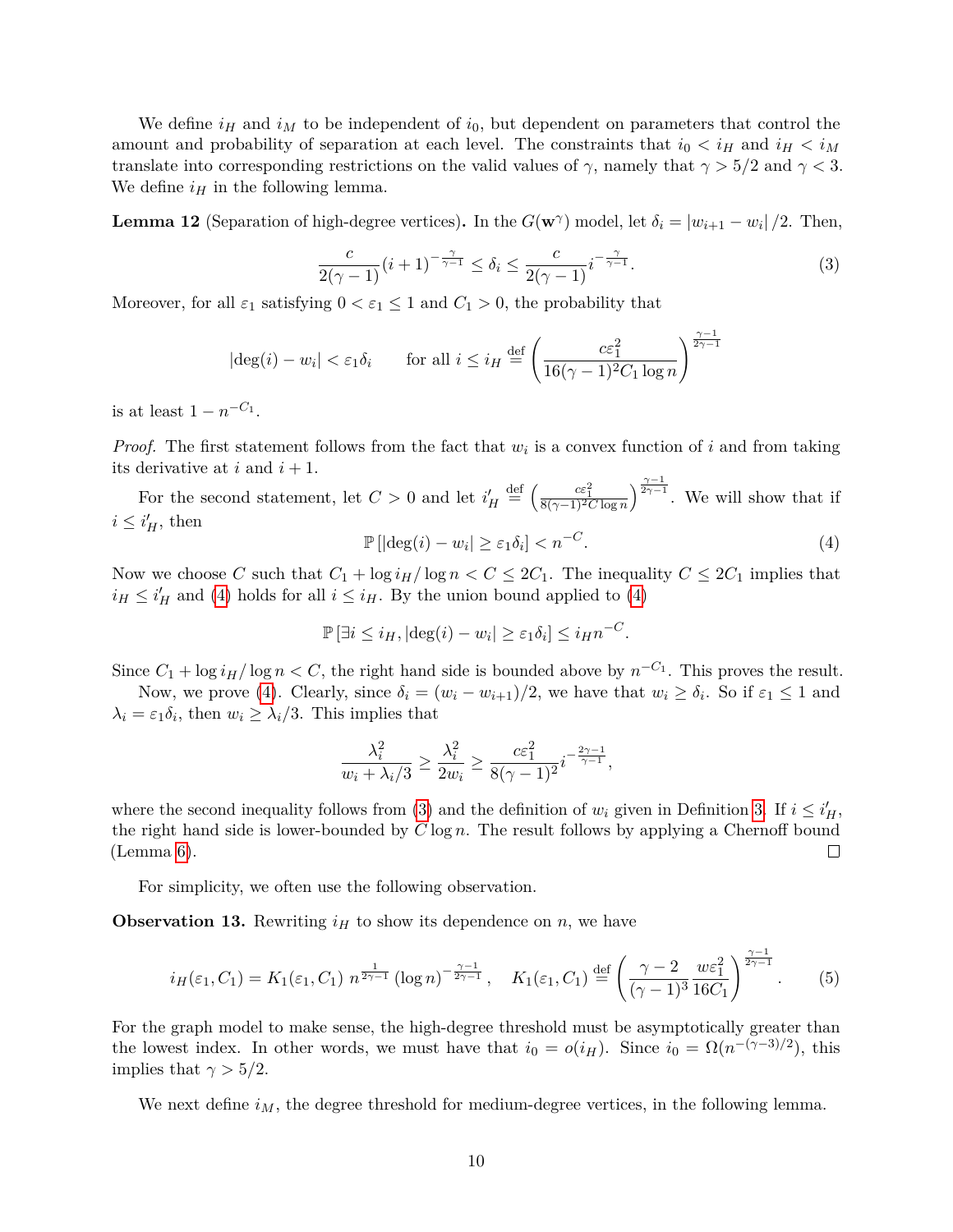We define  $i_H$  and  $i_M$  to be independent of  $i_0$ , but dependent on parameters that control the amount and probability of separation at each level. The constraints that  $i_0 < i_H$  and  $i_H < i_M$ translate into corresponding restrictions on the valid values of  $\gamma$ , namely that  $\gamma > 5/2$  and  $\gamma < 3$ . We define  $i_H$  in the following lemma.

<span id="page-9-3"></span><span id="page-9-1"></span>**Lemma 12** (Separation of high-degree vertices). In the  $G(\mathbf{w}^{\gamma})$  model, let  $\delta_i = |w_{i+1} - w_i|/2$ . Then,

$$
\frac{c}{2(\gamma-1)}(i+1)^{-\frac{\gamma}{\gamma-1}} \le \delta_i \le \frac{c}{2(\gamma-1)}i^{-\frac{\gamma}{\gamma-1}}.\tag{3}
$$

Moreover, for all  $\varepsilon_1$  satisfying  $0 < \varepsilon_1 \leq 1$  and  $C_1 > 0$ , the probability that

$$
|\deg(i) - w_i| < \varepsilon_1 \delta_i \qquad \text{for all } i \le i_H \stackrel{\text{def}}{=} \left(\frac{c \varepsilon_1^2}{16(\gamma - 1)^2 C_1 \log n}\right)^{\frac{\gamma - 1}{2\gamma - 1}}
$$

is at least  $1 - n^{-C_1}$ .

*Proof.* The first statement follows from the fact that *w<sup>i</sup>* is a convex function of *i* and from taking its derivative at  $i$  and  $i + 1$ .

<span id="page-9-0"></span>For the second statement, let  $C > 0$  and let  $i'_H \stackrel{\text{def}}{=} \left(\frac{c \varepsilon_1^2}{8(\gamma - 1)^2 C \log n}\right)^{\frac{\gamma - 1}{2\gamma - 1}}$ . We will show that if  $i \leq i_H^{\prime}$ , then

$$
\mathbb{P}\left[|\deg(i) - w_i| \ge \varepsilon_1 \delta_i\right] < n^{-C}.\tag{4}
$$

Now we choose C such that  $C_1 + \log i_H / \log n < C \leq 2C_1$ . The inequality  $C \leq 2C_1$  implies that  $i_H \leq i'_H$  and [\(4\)](#page-9-0) holds for all  $i \leq i_H$ . By the union bound applied to (4)

$$
\mathbb{P}\left[\exists i \leq i_H, |\deg(i) - w_i| \geq \varepsilon_1 \delta_i\right] \leq i_H n^{-C}.
$$

Since  $C_1 + \log i_H / \log n < C$ , the right hand side is bounded above by  $n^{-C_1}$ . This proves the result. Now, we prove [\(4\)](#page-9-0). Clearly, since  $\delta_i = (w_i - w_{i+1})/2$ , we have that  $w_i \ge \delta_i$ . So if  $\varepsilon_1 \le 1$  and

 $\lambda_i = \varepsilon_1 \delta_i$ , then  $w_i \geq \lambda_i/3$ . This implies that

<span id="page-9-2"></span>
$$
\frac{\lambda_i^2}{w_i + \lambda_i/3} \ge \frac{\lambda_i^2}{2w_i} \ge \frac{c \varepsilon_1^2}{8(\gamma - 1)^2} i^{-\frac{2\gamma - 1}{\gamma - 1}},
$$

where the second inequality follows from [\(3\)](#page-9-1) and the definition of  $w_i$  given in Definition [3.](#page-4-0) If  $i \leq i_H'$ , the right hand side is lower-bounded by *C* log *n*. The result follows by applying a Chernoff bound (Lemma [6\)](#page-7-1).  $\Box$ 

For simplicity, we often use the following observation.

**Observation 13.** Rewriting  $i_H$  to show its dependence on *n*, we have

$$
i_H(\varepsilon_1, C_1) = K_1(\varepsilon_1, C_1) n^{\frac{1}{2\gamma - 1}} (\log n)^{-\frac{\gamma - 1}{2\gamma - 1}}, \quad K_1(\varepsilon_1, C_1) \stackrel{\text{def}}{=} \left(\frac{\gamma - 2}{(\gamma - 1)^3} \frac{w \varepsilon_1^2}{16C_1}\right)^{\frac{\gamma - 1}{2\gamma - 1}}. \tag{5}
$$

For the graph model to make sense, the high-degree threshold must be asymptotically greater than the lowest index. In other words, we must have that  $i_0 = o(i_H)$ . Since  $i_0 = \Omega(n^{-(\gamma-3)/2})$ , this implies that  $\gamma > 5/2$ .

<span id="page-9-4"></span>We next define  $i_M$ , the degree threshold for medium-degree vertices, in the following lemma.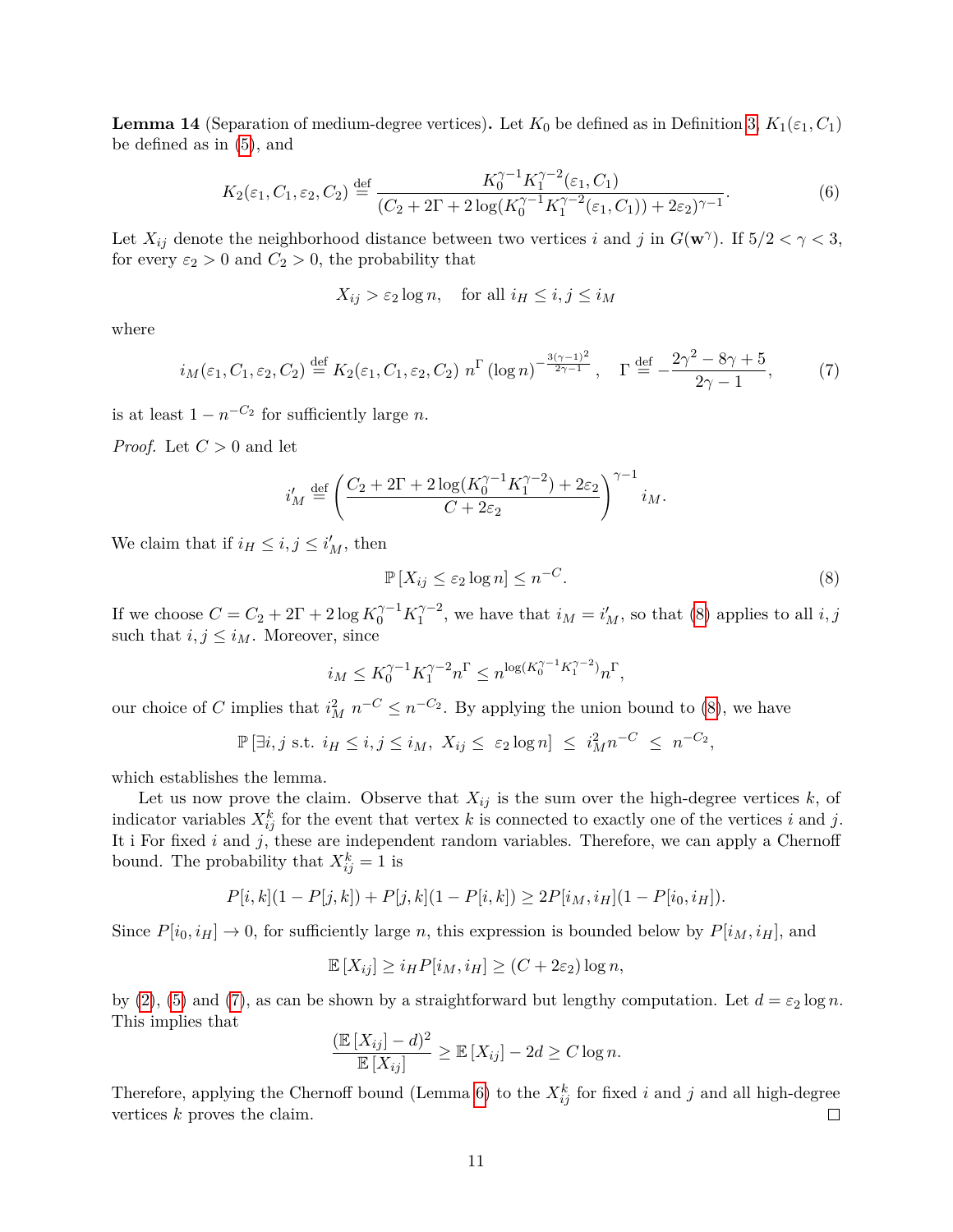**Lemma 14** (Separation of medium-degree vertices). Let  $K_0$  be defined as in Definition [3,](#page-4-0)  $K_1(\varepsilon_1, C_1)$ be defined as in [\(5\)](#page-9-2), and

$$
K_2(\varepsilon_1, C_1, \varepsilon_2, C_2) \stackrel{\text{def}}{=} \frac{K_0^{\gamma - 1} K_1^{\gamma - 2}(\varepsilon_1, C_1)}{(C_2 + 2\Gamma + 2\log(K_0^{\gamma - 1} K_1^{\gamma - 2}(\varepsilon_1, C_1)) + 2\varepsilon_2)^{\gamma - 1}}.
$$
 (6)

Let  $X_{ij}$  denote the neighborhood distance between two vertices *i* and *j* in  $G(\mathbf{w}^{\gamma})$ . If  $5/2 < \gamma < 3$ , for every  $\varepsilon_2 > 0$  and  $C_2 > 0$ , the probability that

$$
X_{ij} > \varepsilon_2 \log n, \quad \text{for all } i_H \le i, j \le i_M
$$

where

<span id="page-10-1"></span>
$$
i_M(\varepsilon_1, C_1, \varepsilon_2, C_2) \stackrel{\text{def}}{=} K_2(\varepsilon_1, C_1, \varepsilon_2, C_2) n^{\Gamma} (\log n)^{-\frac{3(\gamma - 1)^2}{2\gamma - 1}}, \quad \Gamma \stackrel{\text{def}}{=} -\frac{2\gamma^2 - 8\gamma + 5}{2\gamma - 1}, \tag{7}
$$

is at least  $1 - n^{-C_2}$  for sufficiently large *n*.

*Proof.* Let  $C > 0$  and let

$$
i'_M \stackrel{\text{def}}{=} \left(\frac{C_2 + 2\Gamma + 2\log(K_0^{\gamma - 1} K_1^{\gamma - 2}) + 2\varepsilon_2}{C + 2\varepsilon_2}\right)^{\gamma - 1} i_M.
$$

We claim that if  $i_H \leq i, j \leq i'_M$ , then

<span id="page-10-0"></span>
$$
\mathbb{P}\left[X_{ij} \le \varepsilon_2 \log n\right] \le n^{-C}.\tag{8}
$$

If we choose  $C = C_2 + 2\Gamma + 2\log K_0^{\gamma - 1} K_1^{\gamma - 2}$  $i_1^{\gamma-2}$ , we have that  $i_M = i'_M$ , so that [\(8\)](#page-10-0) applies to all  $i, j$ such that  $i, j \leq i_M$ . Moreover, since

$$
i_M \leq K_0^{\gamma - 1} K_1^{\gamma - 2} n^{\Gamma} \leq n^{\log(K_0^{\gamma - 1} K_1^{\gamma - 2})} n^{\Gamma},
$$

our choice of *C* implies that  $i_M^2 n^{-C} \leq n^{-C_2}$ . By applying the union bound to [\(8\)](#page-10-0), we have

$$
\mathbb{P}\left[\exists i,j \text{ s.t. } i_H \leq i,j \leq i_M, \ X_{ij} \leq \varepsilon_2 \log n\right] \leq i_M^2 n^{-C} \leq n^{-C_2},
$$

which establishes the lemma.

Let us now prove the claim. Observe that  $X_{ij}$  is the sum over the high-degree vertices  $k$ , of indicator variables  $X_{ij}^k$  for the event that vertex  $k$  is connected to exactly one of the vertices  $i$  and  $j$ . It i For fixed *i* and *j*, these are independent random variables. Therefore, we can apply a Chernoff bound. The probability that  $X_{ij}^k = 1$  is

$$
P[i,k](1 - P[j,k]) + P[j,k](1 - P[i,k]) \ge 2P[i_M,i_H](1 - P[i_0,i_H]).
$$

Since  $P[i_0, i_H] \to 0$ , for sufficiently large *n*, this expression is bounded below by  $P[i_M, i_H]$ , and

$$
\mathbb{E}[X_{ij}] \ge i_H P[i_M, i_H] \ge (C + 2\varepsilon_2) \log n,
$$

by [\(2\)](#page-4-1), [\(5\)](#page-9-2) and [\(7\)](#page-10-1), as can be shown by a straightforward but lengthy computation. Let  $d = \varepsilon_2 \log n$ . This implies that

$$
\frac{(\mathbb{E}[X_{ij}] - d)^2}{\mathbb{E}[X_{ij}]} \ge \mathbb{E}[X_{ij}] - 2d \ge C \log n.
$$

Therefore, applying the Chernoff bound (Lemma [6\)](#page-7-1) to the  $X_{ij}^k$  for fixed *i* and *j* and all high-degree vertices *k* proves the claim.  $\Box$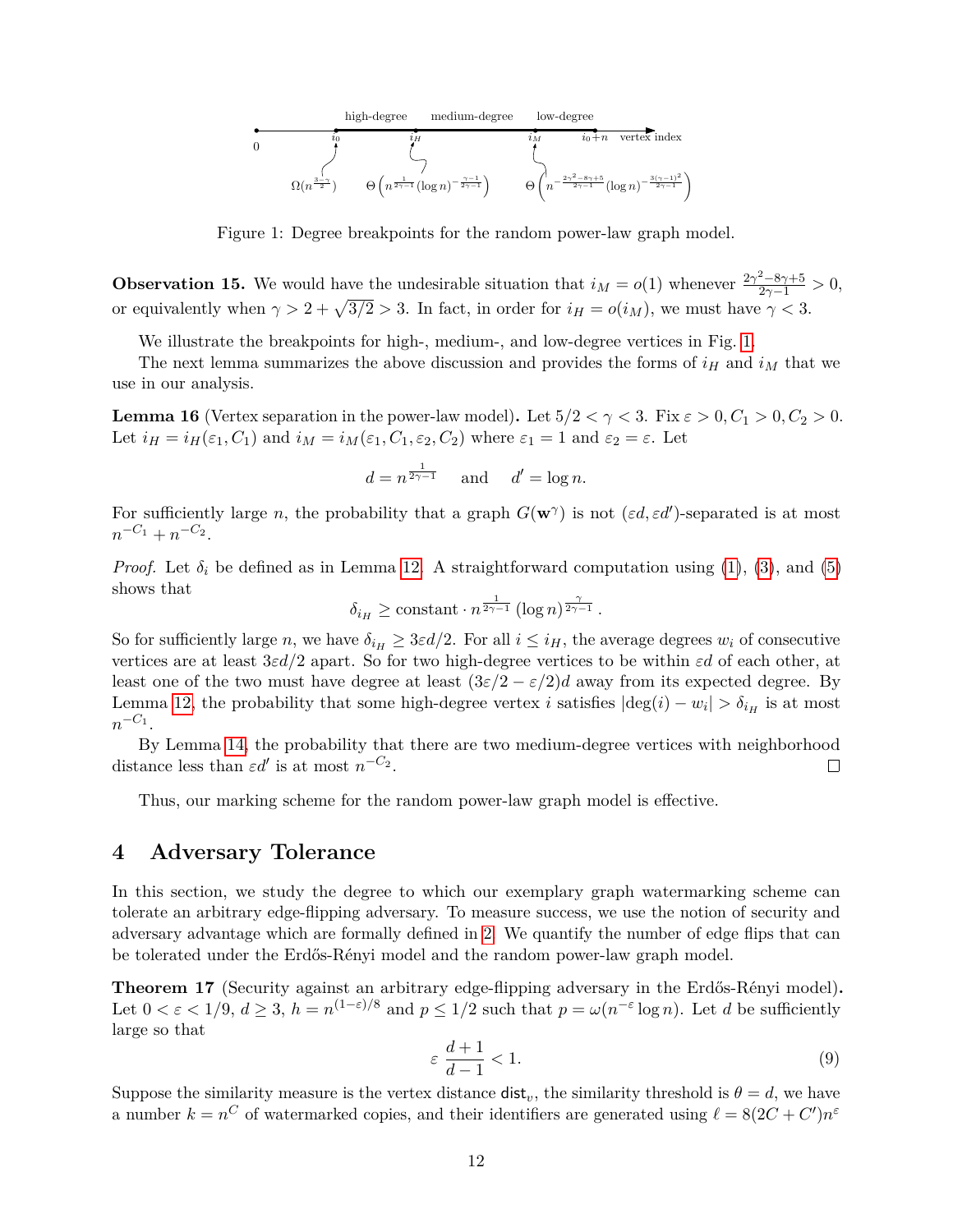

Figure 1: Degree breakpoints for the random power-law graph model.

**Observation 15.** We would have the undesirable situation that  $i_M = o(1)$  whenever  $\frac{2\gamma^2 - 8\gamma + 5}{2\gamma - 1} > 0$ , or equivalently when  $\gamma > 2 + \sqrt{3/2} > 3$ . In fact, in order for  $i_H = o(i_M)$ , we must have  $\gamma < 3$ .

We illustrate the breakpoints for high-, medium-, and low-degree vertices in Fig. [1.](#page-11-0)

The next lemma summarizes the above discussion and provides the forms of  $i_H$  and  $i_M$  that we use in our analysis.

<span id="page-11-3"></span>**Lemma 16** (Vertex separation in the power-law model). Let  $5/2 < \gamma < 3$ . Fix  $\varepsilon > 0, C_1 > 0, C_2 > 0$ . Let  $i_H = i_H(\varepsilon_1, C_1)$  and  $i_M = i_M(\varepsilon_1, C_1, \varepsilon_2, C_2)$  where  $\varepsilon_1 = 1$  and  $\varepsilon_2 = \varepsilon$ . Let

<span id="page-11-0"></span>
$$
d = n^{\frac{1}{2\gamma - 1}} \quad \text{and} \quad d' = \log n.
$$

For sufficiently large *n*, the probability that a graph  $G(\mathbf{w}^{\gamma})$  is not  $(\varepsilon d, \varepsilon d')$ -separated is at most  $n^{-C_1} + n^{-C_2}$ .

*Proof.* Let  $\delta_i$  be defined as in Lemma [12.](#page-9-3) A straightforward computation using [\(1\)](#page-4-2), [\(3\)](#page-9-1), and [\(5\)](#page-9-2) shows that

$$
\delta_{i_H} \ge \text{constant} \cdot n^{\frac{1}{2\gamma - 1}} \left( \log n \right)^{\frac{\gamma}{2\gamma - 1}}.
$$

So for sufficiently large *n*, we have  $\delta_{i} \geq 3\varepsilon d/2$ . For all  $i \leq i_H$ , the average degrees  $w_i$  of consecutive vertices are at least 3*εd/*2 apart. So for two high-degree vertices to be within *εd* of each other, at least one of the two must have degree at least  $(3\varepsilon/2 - \varepsilon/2)d$  away from its expected degree. By Lemma [12,](#page-9-3) the probability that some high-degree vertex *i* satisfies  $|\text{deg}(i) - w_i| > \delta_{i_H}$  is at most  $n^{-C_1}$ .

By Lemma [14,](#page-9-4) the probability that there are two medium-degree vertices with neighborhood distance less than  $\varepsilon d'$  is at most  $n^{-C_2}$ .  $\Box$ 

Thus, our marking scheme for the random power-law graph model is effective.

## **4 Adversary Tolerance**

In this section, we study the degree to which our exemplary graph watermarking scheme can tolerate an arbitrary edge-flipping adversary. To measure success, we use the notion of security and adversary advantage which are formally defined in [2.](#page-2-0) We quantify the number of edge flips that can be tolerated under the Erdős-Rényi model and the random power-law graph model.

<span id="page-11-2"></span><span id="page-11-1"></span>**Theorem 17** (Security against an arbitrary edge-flipping adversary in the Erdős-Rényi model). Let  $0 < \varepsilon < 1/9$ ,  $d \geq 3$ ,  $h = n^{(1-\varepsilon)/8}$  and  $p \leq 1/2$  such that  $p = \omega(n^{-\varepsilon} \log n)$ . Let *d* be sufficiently large so that

$$
\varepsilon \frac{d+1}{d-1} < 1. \tag{9}
$$

Suppose the similarity measure is the vertex distance  $dist_v$ , the similarity threshold is  $\theta = d$ , we have a number  $k = n^C$  of watermarked copies, and their identifiers are generated using  $\ell = 8(2C + C')n^{\varepsilon}$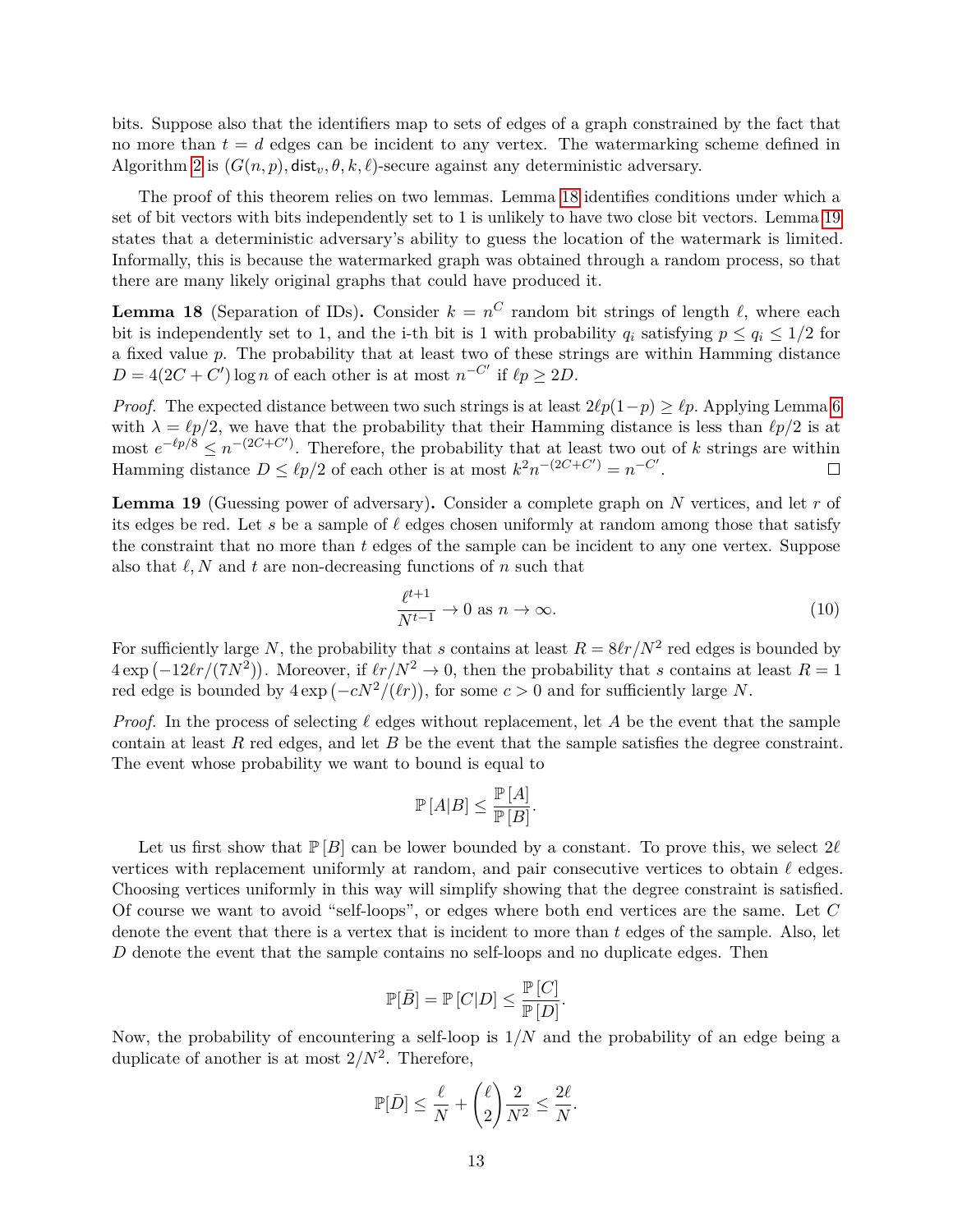bits. Suppose also that the identifiers map to sets of edges of a graph constrained by the fact that no more than  $t = d$  edges can be incident to any vertex. The watermarking scheme defined in Algorithm [2](#page-6-0) is  $(G(n, p), \text{dist}_v, \theta, k, \ell)$ -secure against any deterministic adversary.

The proof of this theorem relies on two lemmas. Lemma [18](#page-12-0) identifies conditions under which a set of bit vectors with bits independently set to 1 is unlikely to have two close bit vectors. Lemma [19](#page-12-1) states that a deterministic adversary's ability to guess the location of the watermark is limited. Informally, this is because the watermarked graph was obtained through a random process, so that there are many likely original graphs that could have produced it.

<span id="page-12-0"></span>**Lemma 18** (Separation of IDs). Consider  $k = n^C$  random bit strings of length  $\ell$ , where each bit is independently set to 1, and the i-th bit is 1 with probability  $q_i$  satisfying  $p \leq q_i \leq 1/2$  for a fixed value *p*. The probability that at least two of these strings are within Hamming distance  $D = 4(2C + C') \log n$  of each other is at most  $n^{-C'}$  if  $\ell p \ge 2D$ .

*Proof.* The expected distance between two such strings is at least  $2\ell p(1-p) \geq \ell p$ . Applying Lemma [6](#page-7-1) with  $\lambda = \ell p/2$ , we have that the probability that their Hamming distance is less than  $\ell p/2$  is at most  $e^{-\ell p/\tilde{8}} \leq n^{-(2C+C')}$ . Therefore, the probability that at least two out of *k* strings are within Hamming distance  $D \leq \ell p/2$  of each other is at most  $k^2 n^{-(2C+C')} = n^{-C'}$ .  $\Box$ 

<span id="page-12-1"></span>**Lemma 19** (Guessing power of adversary)**.** Consider a complete graph on *N* vertices, and let *r* of its edges be red. Let s be a sample of  $\ell$  edges chosen uniformly at random among those that satisfy the constraint that no more than *t* edges of the sample can be incident to any one vertex. Suppose also that  $\ell, N$  and  $t$  are non-decreasing functions of  $n$  such that

<span id="page-12-2"></span>
$$
\frac{\ell^{t+1}}{N^{t-1}} \to 0 \text{ as } n \to \infty.
$$
 (10)

For sufficiently large N, the probability that *s* contains at least  $R = 8\ell r/N^2$  red edges is bounded by  $4 \exp(-12\ell r/(7N^2))$ . Moreover, if  $\ell r/N^2 \to 0$ , then the probability that *s* contains at least  $R = 1$ red edge is bounded by  $4 \exp(-cN^2/(\ell r))$ , for some  $c > 0$  and for sufficiently large *N*.

*Proof.* In the process of selecting  $\ell$  edges without replacement, let *A* be the event that the sample contain at least *R* red edges, and let *B* be the event that the sample satisfies the degree constraint. The event whose probability we want to bound is equal to

$$
\mathbb{P}[A|B] \le \frac{\mathbb{P}[A]}{\mathbb{P}[B]}.
$$

Let us first show that  $\mathbb{P}[B]$  can be lower bounded by a constant. To prove this, we select  $2\ell$ vertices with replacement uniformly at random, and pair consecutive vertices to obtain  $\ell$  edges. Choosing vertices uniformly in this way will simplify showing that the degree constraint is satisfied. Of course we want to avoid "self-loops", or edges where both end vertices are the same. Let *C* denote the event that there is a vertex that is incident to more than *t* edges of the sample. Also, let *D* denote the event that the sample contains no self-loops and no duplicate edges. Then

$$
\mathbb{P}[\bar{B}] = \mathbb{P}\left[C | D\right] \leq \frac{\mathbb{P}\left[C\right]}{\mathbb{P}\left[D\right]}.
$$

Now, the probability of encountering a self-loop is 1*/N* and the probability of an edge being a duplicate of another is at most  $2/N^2$ . Therefore,

$$
\mathbb{P}[\bar{D}] \le \frac{\ell}{N} + \binom{\ell}{2} \frac{2}{N^2} \le \frac{2\ell}{N}.
$$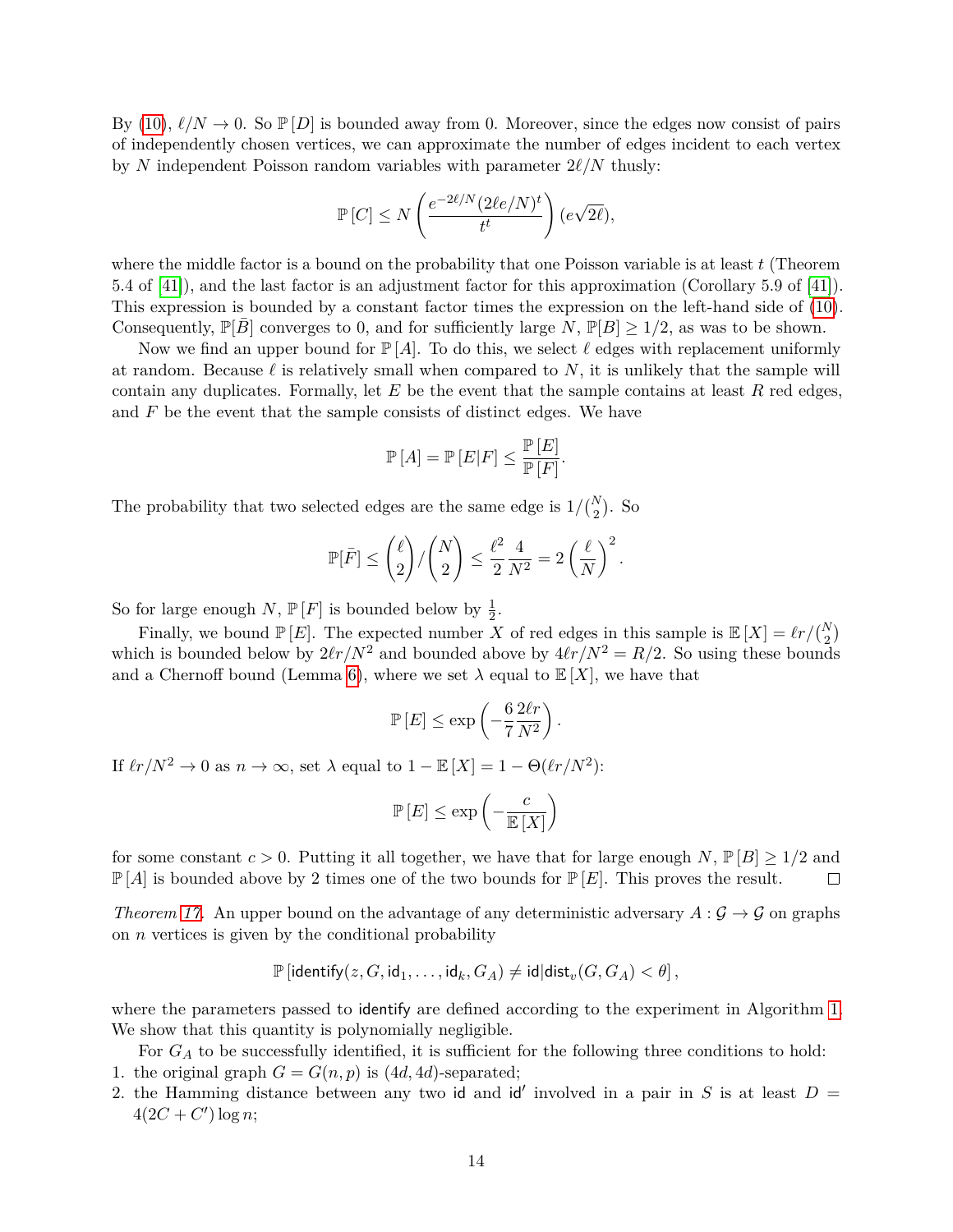By [\(10\)](#page-12-2),  $\ell/N \to 0$ . So  $\mathbb{P}[D]$  is bounded away from 0. Moreover, since the edges now consist of pairs of independently chosen vertices, we can approximate the number of edges incident to each vertex by *N* independent Poisson random variables with parameter  $2\ell/N$  thusly:

$$
\mathbb{P}\left[C\right] \leq N\left(\frac{e^{-2\ell/N}(2\ell e/N)^t}{t^t}\right)(e\sqrt{2\ell}),
$$

where the middle factor is a bound on the probability that one Poisson variable is at least *t* (Theorem 5.4 of [\[41\]](#page-24-8)), and the last factor is an adjustment factor for this approximation (Corollary 5.9 of [\[41\]](#page-24-8)). This expression is bounded by a constant factor times the expression on the left-hand side of [\(10\)](#page-12-2). Consequently,  $\mathbb{P}[B]$  converges to 0, and for sufficiently large *N*,  $\mathbb{P}[B] \geq 1/2$ , as was to be shown.

Now we find an upper bound for  $P[A]$ . To do this, we select  $\ell$  edges with replacement uniformly at random. Because  $\ell$  is relatively small when compared to N, it is unlikely that the sample will contain any duplicates. Formally, let *E* be the event that the sample contains at least *R* red edges, and *F* be the event that the sample consists of distinct edges. We have

$$
\mathbb{P}\left[A\right] = \mathbb{P}\left[E|F\right] \leq \frac{\mathbb{P}\left[E\right]}{\mathbb{P}\left[F\right]}.
$$

The probability that two selected edges are the same edge is  $1/{N \choose 2}$ . So

$$
\mathbb{P}[\bar{F}] \le \binom{\ell}{2} / \binom{N}{2} \le \frac{\ell^2}{2} \frac{4}{N^2} = 2 \left(\frac{\ell}{N}\right)^2.
$$

So for large enough  $N$ ,  $\mathbb{P}[F]$  is bounded below by  $\frac{1}{2}$ .

Finally, we bound  $\mathbb{P}[E]$ . The expected number *X* of red edges in this sample is  $\mathbb{E}[X] = \ell r / {N \choose 2}$ which is bounded below by  $2\ell r/N^2$  and bounded above by  $4\ell r/N^2 = R/2$ . So using these bounds and a Chernoff bound (Lemma [6\)](#page-7-1), where we set  $\lambda$  equal to  $\mathbb{E}[X]$ , we have that

$$
\mathbb{P}\left[E\right] \leq \exp\left(-\frac{6}{7}\frac{2\ell r}{N^2}\right).
$$

If  $\ell r/N^2 \to 0$  as  $n \to \infty$ , set  $\lambda$  equal to  $1 - \mathbb{E}[X] = 1 - \Theta(\ell r/N^2)$ :

$$
\mathbb{P}\left[E\right]\leq \exp\left(-\frac{c}{\mathbb{E}\left[X\right]}\right)
$$

for some constant  $c > 0$ . Putting it all together, we have that for large enough *N*,  $\mathbb{P}[B] > 1/2$  and  $\mathbb{P}[A]$  is bounded above by 2 times one of the two bounds for  $\mathbb{P}[E]$ . This proves the result.  $\Box$ 

*Theorem* [17.](#page-11-1) An upper bound on the advantage of any deterministic adversary  $A: \mathcal{G} \to \mathcal{G}$  on graphs on *n* vertices is given by the conditional probability

$$
\mathbb{P}\left[\mathsf{identify}(z,G,\mathsf{id}_1,\ldots,\mathsf{id}_k,G_A) \neq \mathsf{id} | \mathsf{dist}_v(G,G_A) < \theta \right],
$$

where the parameters passed to identify are defined according to the experiment in Algorithm [1.](#page-3-1) We show that this quantity is polynomially negligible.

For  $G_A$  to be successfully identified, it is sufficient for the following three conditions to hold: 1. the original graph  $G = G(n, p)$  is  $(4d, 4d)$ -separated;

2. the Hamming distance between any two id and id' involved in a pair in *S* is at least  $D =$  $4(2C + C') \log n;$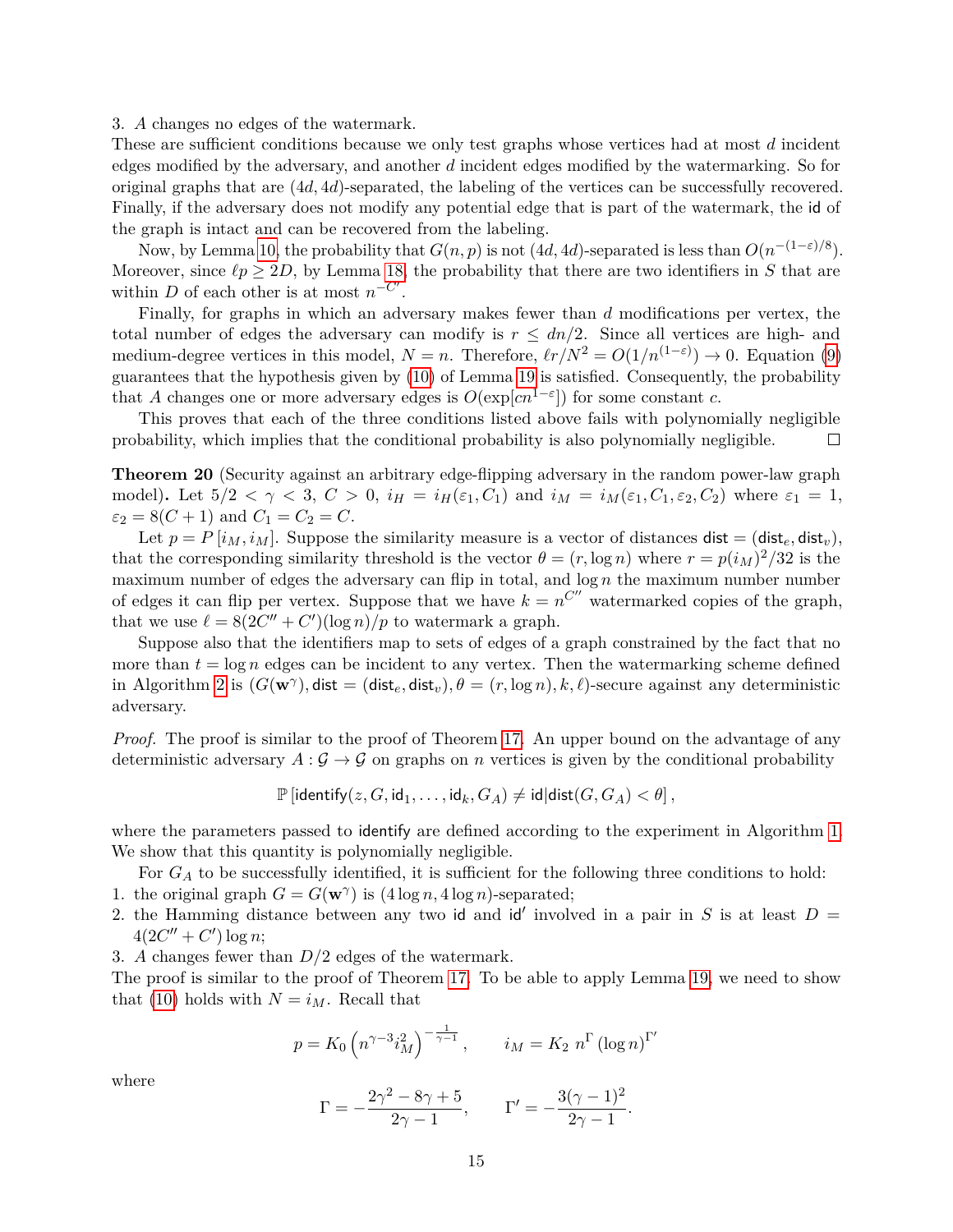3. *A* changes no edges of the watermark.

These are sufficient conditions because we only test graphs whose vertices had at most *d* incident edges modified by the adversary, and another *d* incident edges modified by the watermarking. So for original graphs that are (4*d,* 4*d*)-separated, the labeling of the vertices can be successfully recovered. Finally, if the adversary does not modify any potential edge that is part of the watermark, the id of the graph is intact and can be recovered from the labeling.

Now, by Lemma [10,](#page-8-0) the probability that  $G(n, p)$  is not  $(4d, 4d)$ -separated is less than  $O(n^{-(1-\varepsilon)/8})$ . Moreover, since  $\ell p \geq 2D$ , by Lemma [18,](#page-12-0) the probability that there are two identifiers in *S* that are within *D* of each other is at most  $n^{-C'}$ .

Finally, for graphs in which an adversary makes fewer than *d* modifications per vertex, the total number of edges the adversary can modify is  $r \leq dn/2$ . Since all vertices are high- and medium-degree vertices in this model,  $N = n$ . Therefore,  $\ell r/N^2 = O(1/n^{(1-\epsilon)}) \to 0$ . Equation [\(9\)](#page-11-2) guarantees that the hypothesis given by [\(10\)](#page-12-2) of Lemma [19](#page-12-1) is satisfied. Consequently, the probability that *A* changes one or more adversary edges is  $O(\exp[cn^{1-\epsilon}])$  for some constant *c*.

This proves that each of the three conditions listed above fails with polynomially negligible probability, which implies that the conditional probability is also polynomially negligible.  $\Box$ 

**Theorem 20** (Security against an arbitrary edge-flipping adversary in the random power-law graph model). Let  $5/2 < \gamma < 3$ ,  $C > 0$ ,  $i_H = i_H(\varepsilon_1, C_1)$  and  $i_M = i_M(\varepsilon_1, C_1, \varepsilon_2, C_2)$  where  $\varepsilon_1 = 1$ ,  $\varepsilon_2 = 8(C + 1)$  and  $C_1 = C_2 = C$ .

Let  $p = P[i_M, i_M]$ . Suppose the similarity measure is a vector of distances  $dist = (dist_e, dist_v)$ , that the corresponding similarity threshold is the vector  $\theta = (r, \log n)$  where  $r = p(i_M)^2/32$  is the maximum number of edges the adversary can flip in total, and  $\log n$  the maximum number number of edges it can flip per vertex. Suppose that we have  $k = n^{C''}$  watermarked copies of the graph, that we use  $\ell = 8(2C'' + C')(\log n)/p$  to watermark a graph.

Suppose also that the identifiers map to sets of edges of a graph constrained by the fact that no more than  $t = \log n$  edges can be incident to any vertex. Then the watermarking scheme defined in Algorithm [2](#page-6-0) is  $(G(\mathbf{w}^{\gamma}), \text{dist} = (\text{dist}_e, \text{dist}_v), \theta = (r, \log n), k, \ell$ -secure against any deterministic adversary.

*Proof.* The proof is similar to the proof of Theorem [17.](#page-11-1) An upper bound on the advantage of any deterministic adversary  $A: \mathcal{G} \to \mathcal{G}$  on graphs on *n* vertices is given by the conditional probability

$$
\mathbb{P}\left[\text{identity}(z, G, \text{id}_1, \ldots, \text{id}_k, G_A) \neq \text{id} | \text{dist}(G, G_A) < \theta \right],
$$

where the parameters passed to identify are defined according to the experiment in Algorithm [1.](#page-3-1) We show that this quantity is polynomially negligible.

For  $G_A$  to be successfully identified, it is sufficient for the following three conditions to hold:

- 1. the original graph  $G = G(\mathbf{w}^{\gamma})$  is  $(4 \log n, 4 \log n)$ -separated;
- 2. the Hamming distance between any two id and id' involved in a pair in *S* is at least  $D =$  $4(2C'' + C') \log n;$
- 3. *A* changes fewer than *D/*2 edges of the watermark.

The proof is similar to the proof of Theorem [17.](#page-11-1) To be able to apply Lemma [19,](#page-12-1) we need to show that [\(10\)](#page-12-2) holds with  $N = i_M$ . Recall that

$$
p = K_0 \left( n^{\gamma - 3} i_M^2 \right)^{-\frac{1}{\gamma - 1}}, \quad i_M = K_2 n^{\Gamma} \left( \log n \right)^{\Gamma'}
$$

where

$$
\Gamma = -\frac{2\gamma^2 - 8\gamma + 5}{2\gamma - 1}, \qquad \Gamma' = -\frac{3(\gamma - 1)^2}{2\gamma - 1}.
$$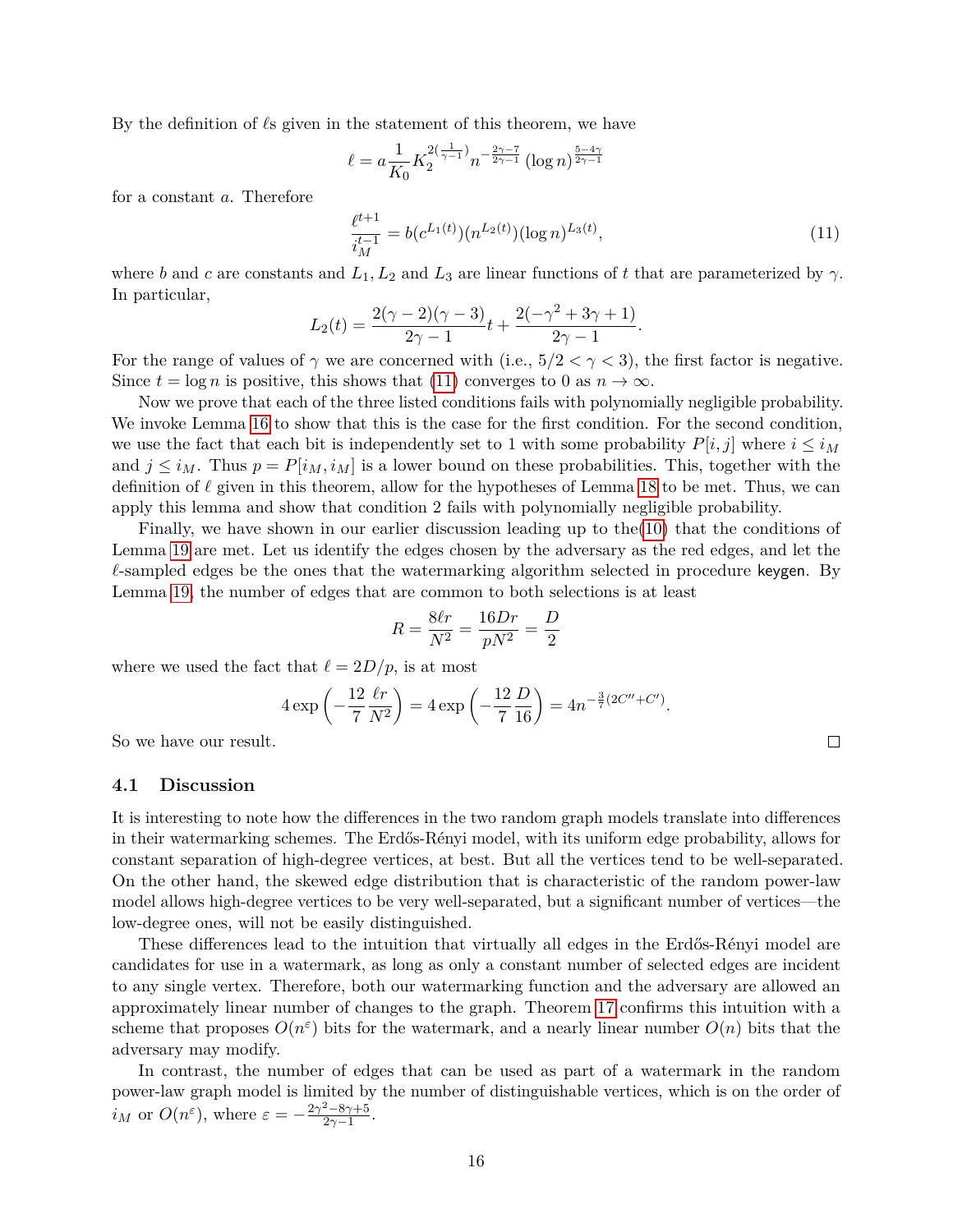By the definition of  $\ell$ s given in the statement of this theorem, we have

$$
\ell = a \frac{1}{K_0} K_2^{2(\frac{1}{\gamma - 1})} n^{-\frac{2\gamma - 7}{2\gamma - 1}} (\log n)^{\frac{5 - 4\gamma}{2\gamma - 1}}
$$

for a constant *a*. Therefore

<span id="page-15-0"></span>
$$
\frac{\ell^{t+1}}{i_M^{t-1}} = b(c^{L_1(t)})(n^{L_2(t)})(\log n)^{L_3(t)},\tag{11}
$$

where *b* and *c* are constants and  $L_1, L_2$  and  $L_3$  are linear functions of *t* that are parameterized by  $\gamma$ . In particular,

$$
L_2(t) = \frac{2(\gamma - 2)(\gamma - 3)}{2\gamma - 1}t + \frac{2(-\gamma^2 + 3\gamma + 1)}{2\gamma - 1}.
$$

For the range of values of  $\gamma$  we are concerned with (i.e.,  $5/2 < \gamma < 3$ ), the first factor is negative. Since  $t = \log n$  is positive, this shows that [\(11\)](#page-15-0) converges to 0 as  $n \to \infty$ .

Now we prove that each of the three listed conditions fails with polynomially negligible probability. We invoke Lemma [16](#page-11-3) to show that this is the case for the first condition. For the second condition, we use the fact that each bit is independently set to 1 with some probability  $P[i, j]$  where  $i \leq i_M$ and  $j \leq i_M$ . Thus  $p = P[i_M, i_M]$  is a lower bound on these probabilities. This, together with the definition of  $\ell$  given in this theorem, allow for the hypotheses of Lemma [18](#page-12-0) to be met. Thus, we can apply this lemma and show that condition 2 fails with polynomially negligible probability.

Finally, we have shown in our earlier discussion leading up to the[\(10\)](#page-12-2) that the conditions of Lemma [19](#page-12-1) are met. Let us identify the edges chosen by the adversary as the red edges, and let the  $\ell$ -sampled edges be the ones that the watermarking algorithm selected in procedure keygen. By Lemma [19,](#page-12-1) the number of edges that are common to both selections is at least

$$
R = \frac{8\ell r}{N^2} = \frac{16Dr}{pN^2} = \frac{D}{2}
$$

where we used the fact that  $\ell = 2D/p$ , is at most

$$
4 \exp\left(-\frac{12 \ell r}{7 N^2}\right) = 4 \exp\left(-\frac{12 D}{7 16}\right) = 4n^{-\frac{3}{7}(2C'' + C')}.
$$

So we have our result.

#### **4.1 Discussion**

It is interesting to note how the differences in the two random graph models translate into differences in their watermarking schemes. The Erdős-Rényi model, with its uniform edge probability, allows for constant separation of high-degree vertices, at best. But all the vertices tend to be well-separated. On the other hand, the skewed edge distribution that is characteristic of the random power-law model allows high-degree vertices to be very well-separated, but a significant number of vertices—the low-degree ones, will not be easily distinguished.

These differences lead to the intuition that virtually all edges in the Erdős-Rényi model are candidates for use in a watermark, as long as only a constant number of selected edges are incident to any single vertex. Therefore, both our watermarking function and the adversary are allowed an approximately linear number of changes to the graph. Theorem [17](#page-11-1) confirms this intuition with a scheme that proposes  $O(n^{\epsilon})$  bits for the watermark, and a nearly linear number  $O(n)$  bits that the adversary may modify.

In contrast, the number of edges that can be used as part of a watermark in the random power-law graph model is limited by the number of distinguishable vertices, which is on the order of *i*<sub>*M*</sub> or  $O(n^{\varepsilon})$ , where  $\varepsilon = -\frac{2\gamma^2 - 8\gamma + 5}{2\gamma - 1}$  $rac{-8\gamma+5}{2\gamma-1}$ .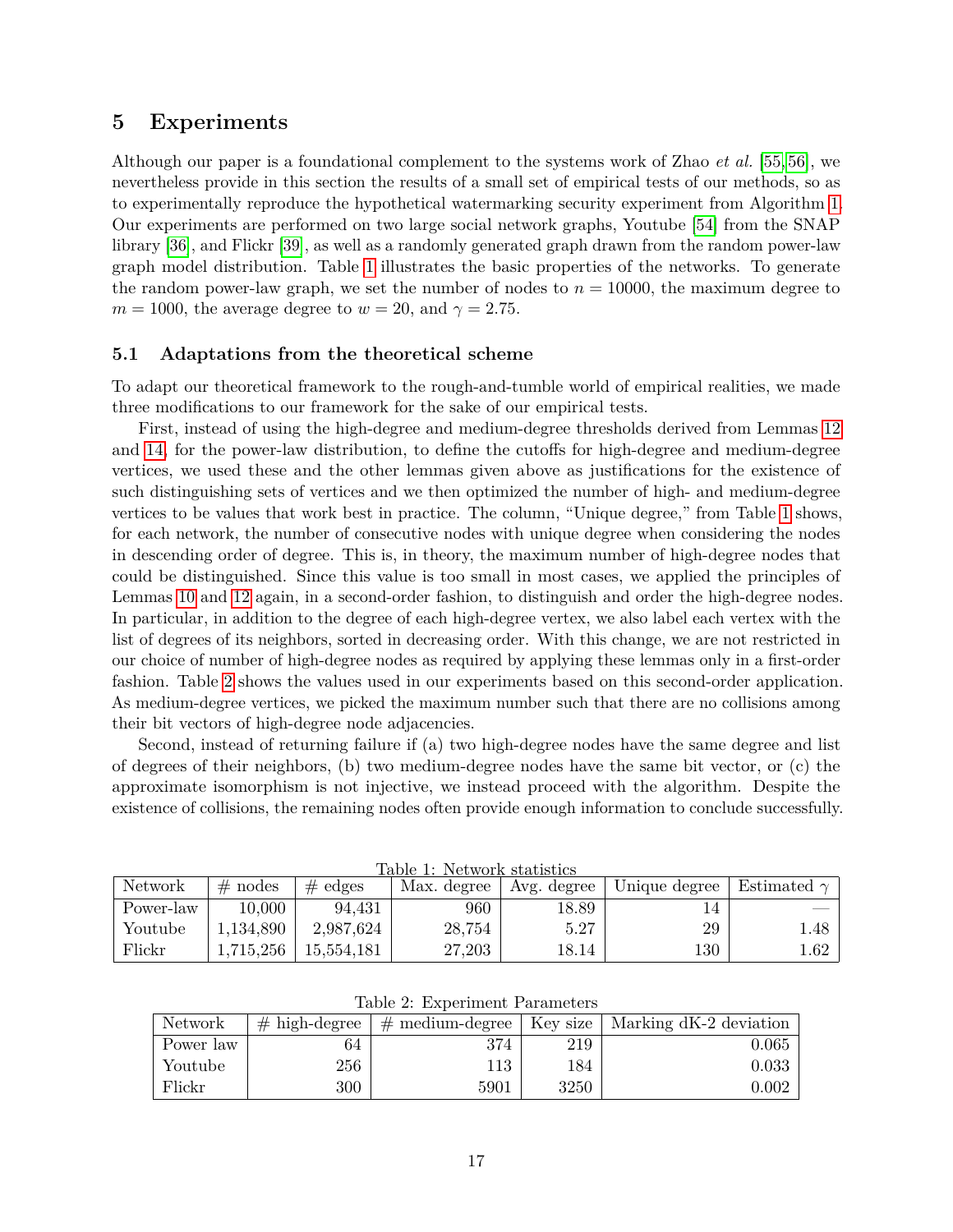## **5 Experiments**

Although our paper is a foundational complement to the systems work of Zhao *et al.* [\[55,](#page-25-0) [56\]](#page-25-1), we nevertheless provide in this section the results of a small set of empirical tests of our methods, so as to experimentally reproduce the hypothetical watermarking security experiment from Algorithm [1.](#page-3-1) Our experiments are performed on two large social network graphs, Youtube [\[54\]](#page-25-3) from the SNAP library [\[36\]](#page-23-9), and Flickr [\[39\]](#page-24-9), as well as a randomly generated graph drawn from the random power-law graph model distribution. Table [1](#page-16-0) illustrates the basic properties of the networks. To generate the random power-law graph, we set the number of nodes to  $n = 10000$ , the maximum degree to  $m = 1000$ , the average degree to  $w = 20$ , and  $\gamma = 2.75$ .

### **5.1 Adaptations from the theoretical scheme**

To adapt our theoretical framework to the rough-and-tumble world of empirical realities, we made three modifications to our framework for the sake of our empirical tests.

First, instead of using the high-degree and medium-degree thresholds derived from Lemmas [12](#page-9-3) and [14,](#page-9-4) for the power-law distribution, to define the cutoffs for high-degree and medium-degree vertices, we used these and the other lemmas given above as justifications for the existence of such distinguishing sets of vertices and we then optimized the number of high- and medium-degree vertices to be values that work best in practice. The column, "Unique degree," from Table [1](#page-16-0) shows, for each network, the number of consecutive nodes with unique degree when considering the nodes in descending order of degree. This is, in theory, the maximum number of high-degree nodes that could be distinguished. Since this value is too small in most cases, we applied the principles of Lemmas [10](#page-8-0) and [12](#page-9-3) again, in a second-order fashion, to distinguish and order the high-degree nodes. In particular, in addition to the degree of each high-degree vertex, we also label each vertex with the list of degrees of its neighbors, sorted in decreasing order. With this change, we are not restricted in our choice of number of high-degree nodes as required by applying these lemmas only in a first-order fashion. Table [2](#page-16-1) shows the values used in our experiments based on this second-order application. As medium-degree vertices, we picked the maximum number such that there are no collisions among their bit vectors of high-degree node adjacencies.

Second, instead of returning failure if (a) two high-degree nodes have the same degree and list of degrees of their neighbors, (b) two medium-degree nodes have the same bit vector, or (c) the approximate isomorphism is not injective, we instead proceed with the algorithm. Despite the existence of collisions, the remaining nodes often provide enough information to conclude successfully.

<span id="page-16-0"></span>

| Network   | $#$ nodes | $\#$ edges | Max. degree | Avg. degree | Unique degree | Estimated $\gamma$ |
|-----------|-----------|------------|-------------|-------------|---------------|--------------------|
| Power-law | 10,000    | 94.431     | 960         | 18.89       |               |                    |
| Youtube   | 1,134,890 | 2.987.624  | 28,754      | 5.27        | 29            | 1.48               |
| Flickr    | 1,715,256 | 15,554,181 | 27.203      | 18.14       | 130           | 1.62               |

Table 1: Network statistics

<span id="page-16-1"></span>

| Table 2: Experiment Parameters |                 |                                                   |      |                        |  |
|--------------------------------|-----------------|---------------------------------------------------|------|------------------------|--|
| Network                        | $#$ high-degree | $\vert \#$ medium-degree $\vert$ Key size $\vert$ |      | Marking dK-2 deviation |  |
| Power law                      | 64              | 374                                               | 219  | 0.065                  |  |
| Youtube                        | 256             | 113                                               | 184  | 0.033                  |  |
| Flickr                         | 300             | 5901                                              | 3250 | 0.002                  |  |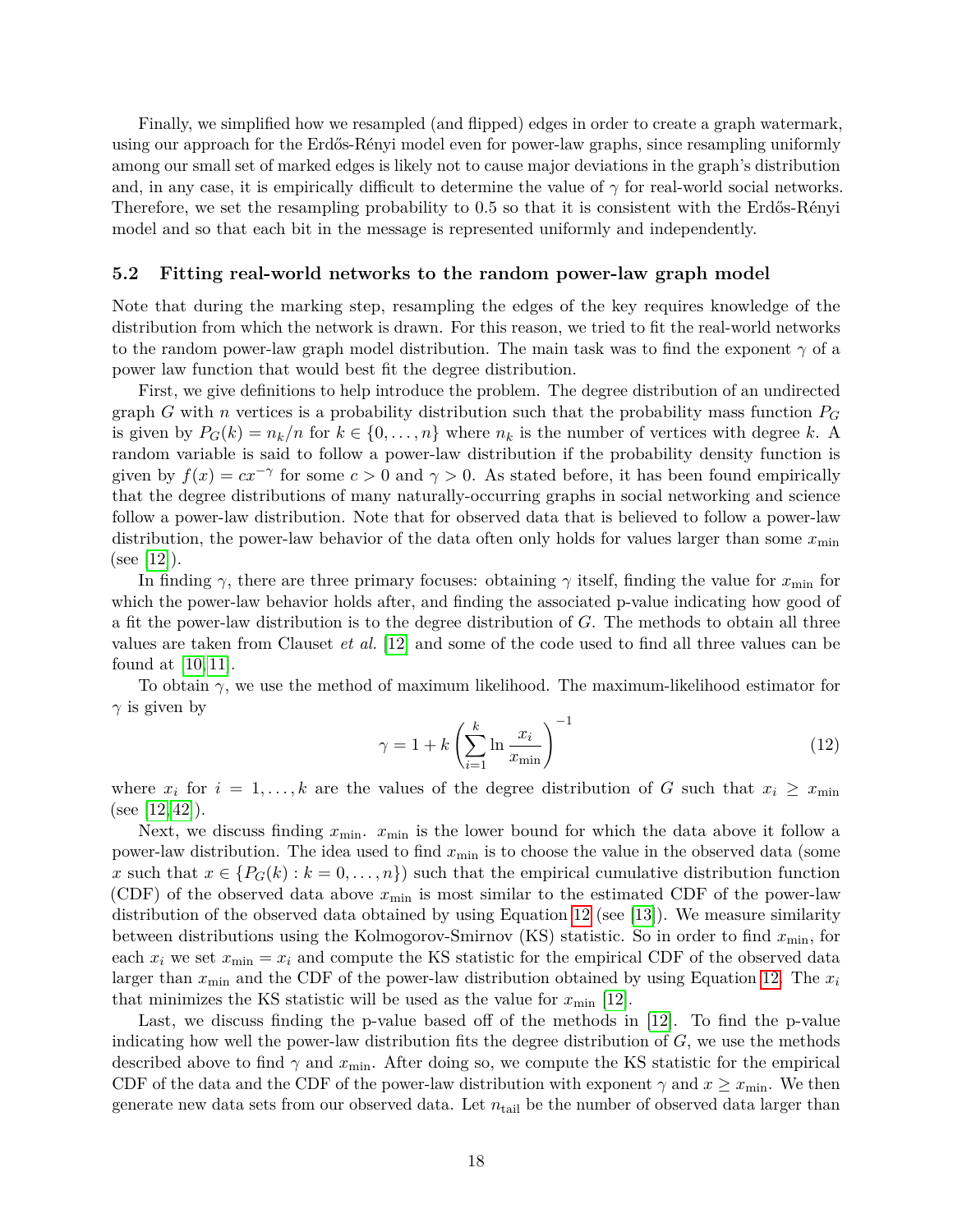Finally, we simplified how we resampled (and flipped) edges in order to create a graph watermark, using our approach for the Erdős-Rényi model even for power-law graphs, since resampling uniformly among our small set of marked edges is likely not to cause major deviations in the graph's distribution and, in any case, it is empirically difficult to determine the value of  $\gamma$  for real-world social networks. Therefore, we set the resampling probability to 0.5 so that it is consistent with the Erdős-Rényi model and so that each bit in the message is represented uniformly and independently.

#### **5.2 Fitting real-world networks to the random power-law graph model**

Note that during the marking step, resampling the edges of the key requires knowledge of the distribution from which the network is drawn. For this reason, we tried to fit the real-world networks to the random power-law graph model distribution. The main task was to find the exponent  $\gamma$  of a power law function that would best fit the degree distribution.

First, we give definitions to help introduce the problem. The degree distribution of an undirected graph *G* with *n* vertices is a probability distribution such that the probability mass function *P<sup>G</sup>* is given by  $P_G(k) = n_k/n$  for  $k \in \{0, \ldots, n\}$  where  $n_k$  is the number of vertices with degree k. A random variable is said to follow a power-law distribution if the probability density function is given by  $f(x) = cx^{-\gamma}$  for some  $c > 0$  and  $\gamma > 0$ . As stated before, it has been found empirically that the degree distributions of many naturally-occurring graphs in social networking and science follow a power-law distribution. Note that for observed data that is believed to follow a power-law distribution, the power-law behavior of the data often only holds for values larger than some  $x_{\min}$  $(see [12]).$  $(see [12]).$  $(see [12]).$ 

In finding  $\gamma$ , there are three primary focuses: obtaining  $\gamma$  itself, finding the value for  $x_{\text{min}}$  for which the power-law behavior holds after, and finding the associated p-value indicating how good of a fit the power-law distribution is to the degree distribution of *G*. The methods to obtain all three values are taken from Clauset *et al.* [\[12\]](#page-22-9) and some of the code used to find all three values can be found at [\[10,](#page-22-10) [11\]](#page-22-11).

<span id="page-17-0"></span>To obtain *γ*, we use the method of maximum likelihood. The maximum-likelihood estimator for  $\gamma$  is given by

$$
\gamma = 1 + k \left( \sum_{i=1}^{k} \ln \frac{x_i}{x_{\min}} \right)^{-1} \tag{12}
$$

where  $x_i$  for  $i = 1, \ldots, k$  are the values of the degree distribution of *G* such that  $x_i \geq x_{\min}$  $(see [12, 42]).$  $(see [12, 42]).$  $(see [12, 42]).$  $(see [12, 42]).$ 

Next, we discuss finding  $x_{\min}$ .  $x_{\min}$  is the lower bound for which the data above it follow a power-law distribution. The idea used to find  $x_{\min}$  is to choose the value in the observed data (some *x* such that  $x \in \{P_G(k): k = 0, \ldots, n\}$  such that the empirical cumulative distribution function (CDF) of the observed data above  $x_{\text{min}}$  is most similar to the estimated CDF of the power-law distribution of the observed data obtained by using Equation [12](#page-17-0) (see [\[13\]](#page-22-12)). We measure similarity between distributions using the Kolmogorov-Smirnov (KS) statistic. So in order to find *x*min, for each  $x_i$  we set  $x_{\text{min}} = x_i$  and compute the KS statistic for the empirical CDF of the observed data larger than  $x_{\text{min}}$  and the CDF of the power-law distribution obtained by using Equation [12.](#page-17-0) The  $x_i$ that minimizes the KS statistic will be used as the value for  $x_{\text{min}}$  [\[12\]](#page-22-9).

Last, we discuss finding the p-value based off of the methods in [\[12\]](#page-22-9). To find the p-value indicating how well the power-law distribution fits the degree distribution of *G*, we use the methods described above to find  $\gamma$  and  $x_{\rm min}$ . After doing so, we compute the KS statistic for the empirical CDF of the data and the CDF of the power-law distribution with exponent  $\gamma$  and  $x \geq x_{\min}$ . We then generate new data sets from our observed data. Let *n*tail be the number of observed data larger than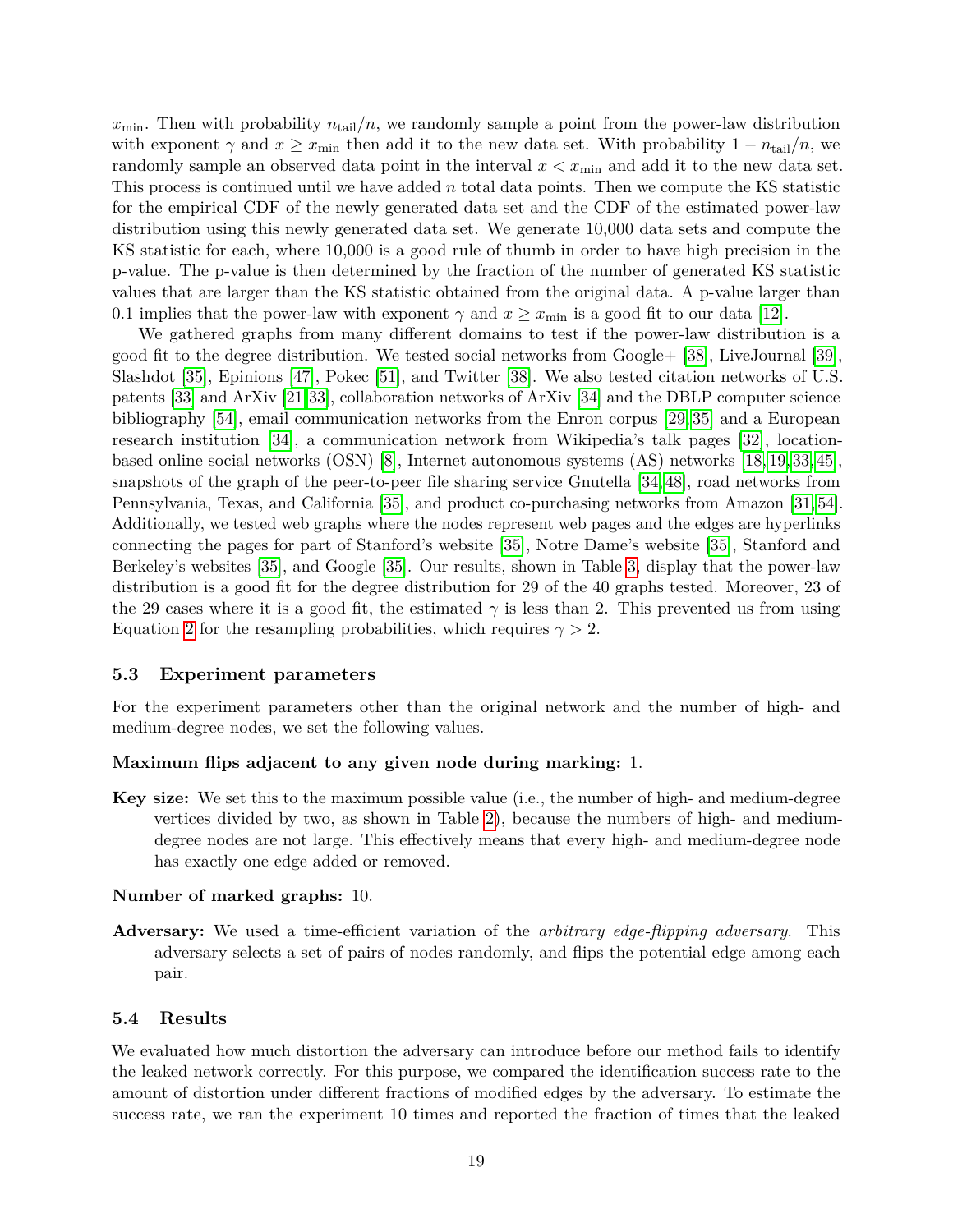$x_{\min}$ . Then with probability  $n_{\text{tail}}/n$ , we randomly sample a point from the power-law distribution with exponent  $\gamma$  and  $x \geq x_{\min}$  then add it to the new data set. With probability  $1 - n_{\text{tail}}/n$ , we randomly sample an observed data point in the interval  $x < x_{\min}$  and add it to the new data set. This process is continued until we have added *n* total data points. Then we compute the KS statistic for the empirical CDF of the newly generated data set and the CDF of the estimated power-law distribution using this newly generated data set. We generate 10,000 data sets and compute the KS statistic for each, where 10,000 is a good rule of thumb in order to have high precision in the p-value. The p-value is then determined by the fraction of the number of generated KS statistic values that are larger than the KS statistic obtained from the original data. A p-value larger than 0.1 implies that the power-law with exponent  $\gamma$  and  $x \geq x_{\text{min}}$  is a good fit to our data [\[12\]](#page-22-9).

We gathered graphs from many different domains to test if the power-law distribution is a good fit to the degree distribution. We tested social networks from Google+ [\[38\]](#page-24-11), LiveJournal [\[39\]](#page-24-9), Slashdot [\[35\]](#page-23-10), Epinions [\[47\]](#page-24-12), Pokec [\[51\]](#page-24-13), and Twitter [\[38\]](#page-24-11). We also tested citation networks of U.S. patents [\[33\]](#page-23-11) and ArXiv [\[21,](#page-23-12)[33\]](#page-23-11), collaboration networks of ArXiv [\[34\]](#page-23-13) and the DBLP computer science bibliography [\[54\]](#page-25-3), email communication networks from the Enron corpus [\[29,](#page-23-14) [35\]](#page-23-10) and a European research institution [\[34\]](#page-23-13), a communication network from Wikipedia's talk pages [\[32\]](#page-23-15), locationbased online social networks (OSN) [\[8\]](#page-22-13), Internet autonomous systems (AS) networks [\[18,](#page-22-14) [19,](#page-22-15) [33,](#page-23-11) [45\]](#page-24-14), snapshots of the graph of the peer-to-peer file sharing service Gnutella [\[34,](#page-23-13) [48\]](#page-24-15), road networks from Pennsylvania, Texas, and California [\[35\]](#page-23-10), and product co-purchasing networks from Amazon [\[31,](#page-23-16) [54\]](#page-25-3). Additionally, we tested web graphs where the nodes represent web pages and the edges are hyperlinks connecting the pages for part of Stanford's website [\[35\]](#page-23-10), Notre Dame's website [\[35\]](#page-23-10), Stanford and Berkeley's websites [\[35\]](#page-23-10), and Google [\[35\]](#page-23-10). Our results, shown in Table [3,](#page-19-0) display that the power-law distribution is a good fit for the degree distribution for 29 of the 40 graphs tested. Moreover, 23 of the 29 cases where it is a good fit, the estimated  $\gamma$  is less than 2. This prevented us from using Equation [2](#page-4-1) for the resampling probabilities, which requires  $\gamma > 2$ .

#### **5.3 Experiment parameters**

For the experiment parameters other than the original network and the number of high- and medium-degree nodes, we set the following values.

#### **Maximum flips adjacent to any given node during marking:** 1.

**Key size:** We set this to the maximum possible value (i.e., the number of high- and medium-degree vertices divided by two, as shown in Table [2\)](#page-16-1), because the numbers of high- and mediumdegree nodes are not large. This effectively means that every high- and medium-degree node has exactly one edge added or removed.

### **Number of marked graphs:** 10.

**Adversary:** We used a time-efficient variation of the *arbitrary edge-flipping adversary*. This adversary selects a set of pairs of nodes randomly, and flips the potential edge among each pair.

#### **5.4 Results**

We evaluated how much distortion the adversary can introduce before our method fails to identify the leaked network correctly. For this purpose, we compared the identification success rate to the amount of distortion under different fractions of modified edges by the adversary. To estimate the success rate, we ran the experiment 10 times and reported the fraction of times that the leaked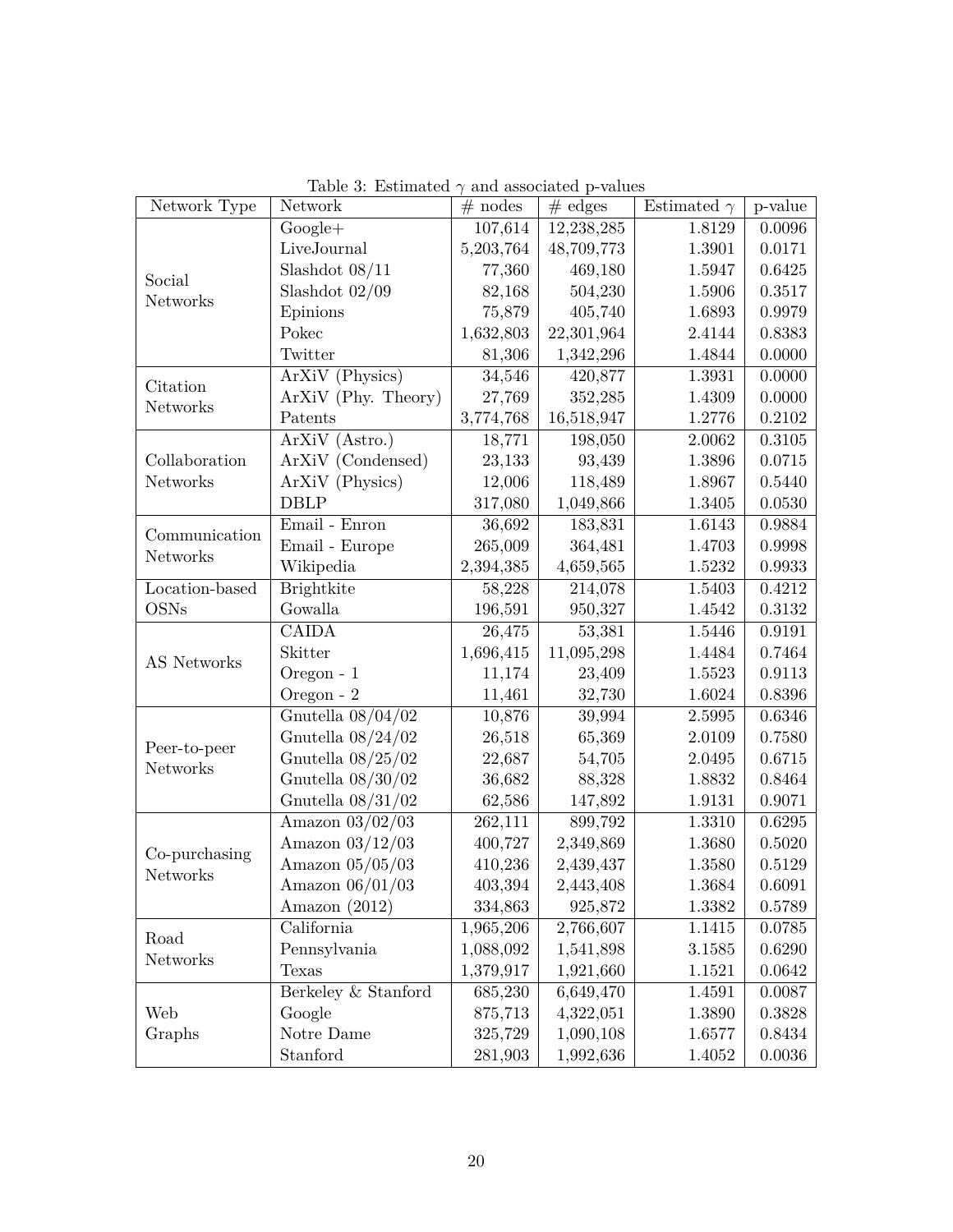<span id="page-19-0"></span>

| Network Type       | Network             | $#$ nodes | $#$ edges  | Estimated $\gamma$ | p-value    |
|--------------------|---------------------|-----------|------------|--------------------|------------|
| Social<br>Networks | $Google+$           | 107,614   | 12,238,285 | 1.8129             | 0.0096     |
|                    | LiveJournal         | 5,203,764 | 48,709,773 | 1.3901             | 0.0171     |
|                    | Slashdot $08/11$    | 77,360    | 469,180    | 1.5947             | 0.6425     |
|                    | Slashdot $02/09$    | 82,168    | 504,230    | 1.5906             | 0.3517     |
|                    | Epinions            | 75,879    | 405,740    | 1.6893             | 0.9979     |
|                    | Pokec               | 1,632,803 | 22,301,964 | 2.4144             | 0.8383     |
|                    | Twitter             | 81,306    | 1,342,296  | 1.4844             | 0.0000     |
| Citation           | ArXiV (Physics)     | 34,546    | 420,877    | 1.3931             | 0.0000     |
| Networks           | ArXiV (Phy. Theory) | 27,769    | 352,285    | 1.4309             | 0.0000     |
|                    | Patents             | 3,774,768 | 16,518,947 | 1.2776             | $0.2102\,$ |
|                    | ArXiV (Astro.)      | 18,771    | 198,050    | 2.0062             | 0.3105     |
| Collaboration      | ArXiV (Condensed)   | 23,133    | 93,439     | 1.3896             | 0.0715     |
| Networks           | ArXiV (Physics)     | 12,006    | 118,489    | 1.8967             | 0.5440     |
|                    | <b>DBLP</b>         | 317,080   | 1,049,866  | $1.3405\,$         | 0.0530     |
| Communication      | Email - Enron       | 36,692    | 183,831    | 1.6143             | 0.9884     |
| Networks           | Email - Europe      | 265,009   | 364,481    | 1.4703             | 0.9998     |
|                    | Wikipedia           | 2,394,385 | 4,659,565  | 1.5232             | ${0.9933}$ |
| Location-based     | <b>Brightkite</b>   | 58,228    | 214,078    | 1.5403             | 0.4212     |
| <b>OSNs</b>        | Gowalla             | 196,591   | 950,327    | 1.4542             | $0.3132\,$ |
|                    | CAIDA               | 26,475    | 53,381     | 1.5446             | 0.9191     |
| AS Networks        | Skitter             | 1,696,415 | 11,095,298 | 1.4484             | 0.7464     |
|                    | Oregon - 1          | 11,174    | 23,409     | 1.5523             | 0.9113     |
|                    | Oregon - 2          | 11,461    | 32,730     | 1.6024             | $0.8396\,$ |
|                    | Gnutella $08/04/02$ | 10,876    | 39,994     | 2.5995             | 0.6346     |
| Peer-to-peer       | Gnutella $08/24/02$ | 26,518    | 65,369     | 2.0109             | 0.7580     |
| Networks           | Gnutella $08/25/02$ | 22,687    | 54,705     | 2.0495             | 0.6715     |
|                    | Gnutella $08/30/02$ | 36,682    | 88,328     | 1.8832             | 0.8464     |
|                    | Gnutella $08/31/02$ | 62,586    | 147,892    | 1.9131             | 0.9071     |
|                    | Amazon $03/02/03$   | 262,111   | 899,792    | 1.3310             | 0.6295     |
| Co-purchasing      | Amazon $03/12/03$   | 400,727   | 2,349,869  | 1.3680             | 0.5020     |
| Networks           | Amazon $05/05/03$   | 410,236   | 2,439,437  | 1.3580             | 0.5129     |
|                    | Amazon $06/01/03$   | 403,394   | 2,443,408  | 1.3684             | 0.6091     |
|                    | Amazon (2012)       | 334,863   | 925,872    | 1.3382             | 0.5789     |
| Road<br>Networks   | California          | 1,965,206 | 2,766,607  | 1.1415             | 0.0785     |
|                    | Pennsylvania        | 1,088,092 | 1,541,898  | 3.1585             | 0.6290     |
|                    | Texas               | 1,379,917 | 1,921,660  | 1.1521             | 0.0642     |
| Web<br>Graphs      | Berkeley & Stanford | 685,230   | 6,649,470  | 1.4591             | 0.0087     |
|                    | Google              | 875,713   | 4,322,051  | 1.3890             | 0.3828     |
|                    | Notre Dame          | 325,729   | 1,090,108  | 1.6577             | 0.8434     |
|                    | Stanford            | 281,903   | 1,992,636  | 1.4052             | 0.0036     |

Table 3: Estimated  $\gamma$  and associated p-values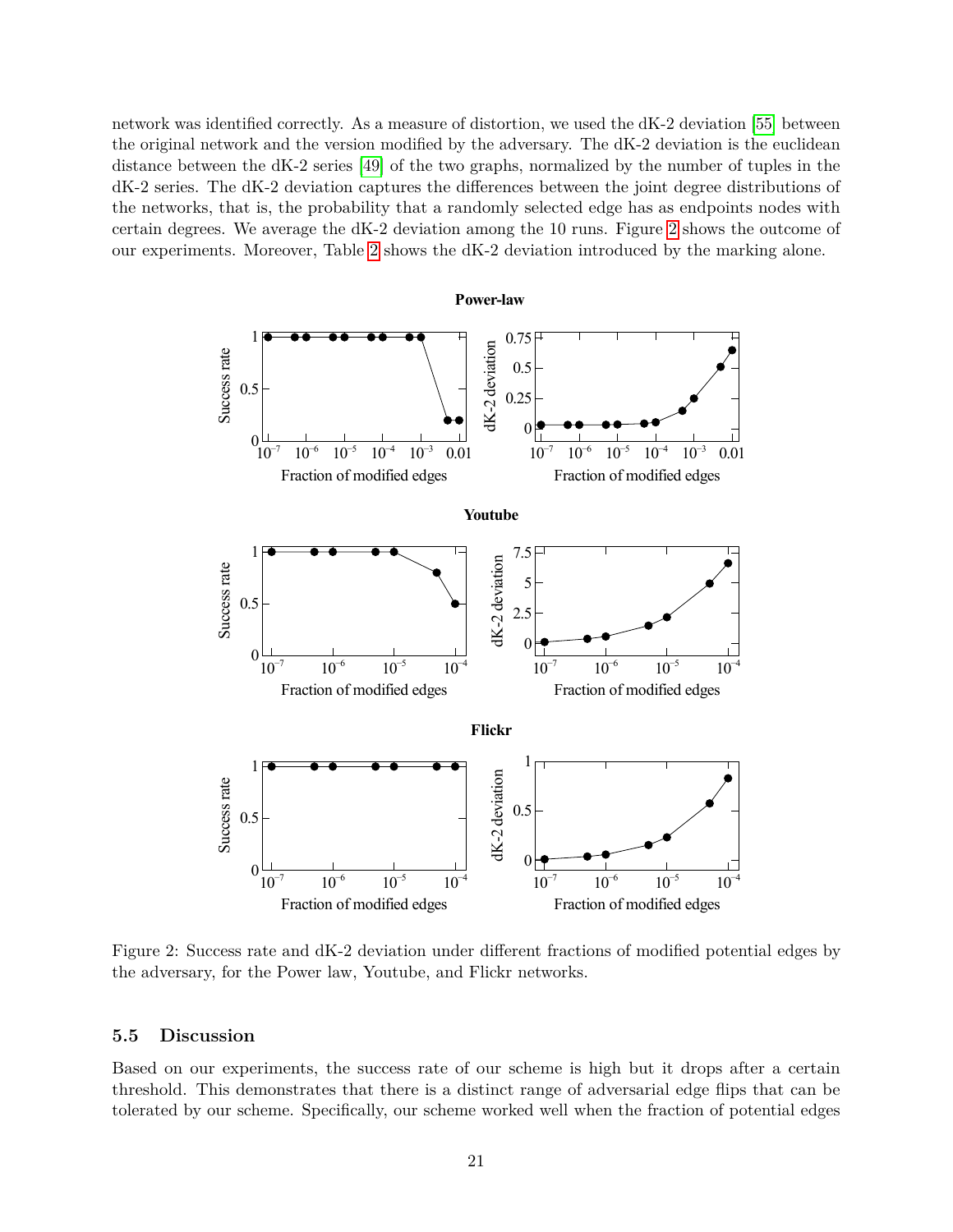network was identified correctly. As a measure of distortion, we used the dK-2 deviation [\[55\]](#page-25-0) between the original network and the version modified by the adversary. The dK-2 deviation is the euclidean distance between the dK-2 series [\[49\]](#page-24-16) of the two graphs, normalized by the number of tuples in the dK-2 series. The dK-2 deviation captures the differences between the joint degree distributions of the networks, that is, the probability that a randomly selected edge has as endpoints nodes with certain degrees. We average the dK-2 deviation among the 10 runs. Figure [2](#page-20-0) shows the outcome of our experiments. Moreover, Table [2](#page-16-1) shows the dK-2 deviation introduced by the marking alone.



<span id="page-20-0"></span>Figure 2: Success rate and dK-2 deviation under different fractions of modified potential edges by the adversary, for the Power law, Youtube, and Flickr networks.

#### **5.5 Discussion**

Based on our experiments, the success rate of our scheme is high but it drops after a certain threshold. This demonstrates that there is a distinct range of adversarial edge flips that can be tolerated by our scheme. Specifically, our scheme worked well when the fraction of potential edges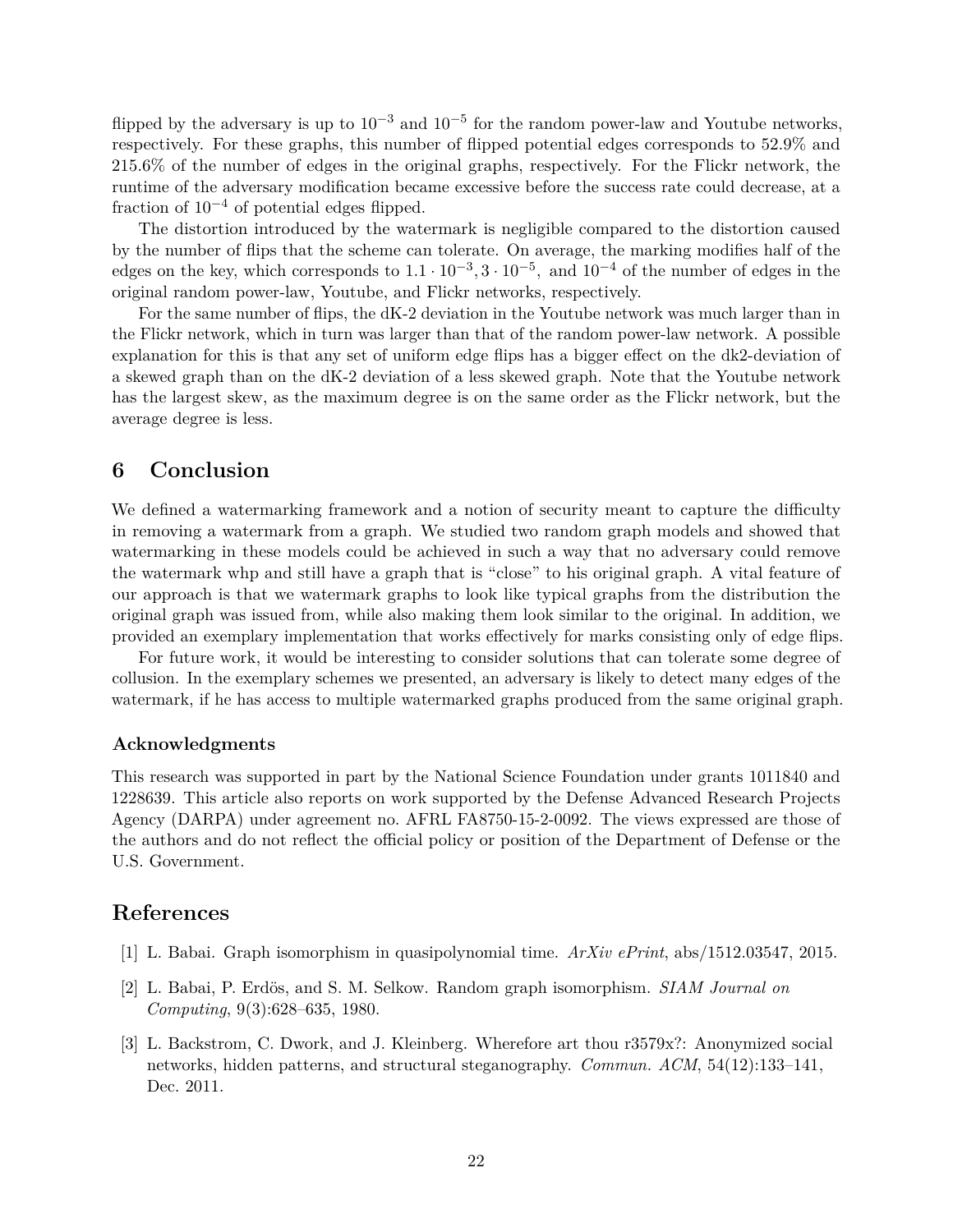flipped by the adversary is up to  $10^{-3}$  and  $10^{-5}$  for the random power-law and Youtube networks, respectively. For these graphs, this number of flipped potential edges corresponds to 52*.*9% and 215*.*6% of the number of edges in the original graphs, respectively. For the Flickr network, the runtime of the adversary modification became excessive before the success rate could decrease, at a fraction of  $10^{-4}$  of potential edges flipped.

The distortion introduced by the watermark is negligible compared to the distortion caused by the number of flips that the scheme can tolerate. On average, the marking modifies half of the edges on the key, which corresponds to  $1.1 \cdot 10^{-3}$ ,  $3 \cdot 10^{-5}$ , and  $10^{-4}$  of the number of edges in the original random power-law, Youtube, and Flickr networks, respectively.

For the same number of flips, the dK-2 deviation in the Youtube network was much larger than in the Flickr network, which in turn was larger than that of the random power-law network. A possible explanation for this is that any set of uniform edge flips has a bigger effect on the dk2-deviation of a skewed graph than on the dK-2 deviation of a less skewed graph. Note that the Youtube network has the largest skew, as the maximum degree is on the same order as the Flickr network, but the average degree is less.

## **6 Conclusion**

We defined a watermarking framework and a notion of security meant to capture the difficulty in removing a watermark from a graph. We studied two random graph models and showed that watermarking in these models could be achieved in such a way that no adversary could remove the watermark whp and still have a graph that is "close" to his original graph. A vital feature of our approach is that we watermark graphs to look like typical graphs from the distribution the original graph was issued from, while also making them look similar to the original. In addition, we provided an exemplary implementation that works effectively for marks consisting only of edge flips.

For future work, it would be interesting to consider solutions that can tolerate some degree of collusion. In the exemplary schemes we presented, an adversary is likely to detect many edges of the watermark, if he has access to multiple watermarked graphs produced from the same original graph.

### **Acknowledgments**

This research was supported in part by the National Science Foundation under grants 1011840 and 1228639. This article also reports on work supported by the Defense Advanced Research Projects Agency (DARPA) under agreement no. AFRL FA8750-15-2-0092. The views expressed are those of the authors and do not reflect the official policy or position of the Department of Defense or the U.S. Government.

### **References**

- <span id="page-21-1"></span>[1] L. Babai. Graph isomorphism in quasipolynomial time. *ArXiv ePrint*, abs/1512.03547, 2015.
- <span id="page-21-2"></span>[2] L. Babai, P. Erd¨os, and S. M. Selkow. Random graph isomorphism. *SIAM Journal on Computing*, 9(3):628–635, 1980.
- <span id="page-21-0"></span>[3] L. Backstrom, C. Dwork, and J. Kleinberg. Wherefore art thou r3579x?: Anonymized social networks, hidden patterns, and structural steganography. *Commun. ACM*, 54(12):133–141, Dec. 2011.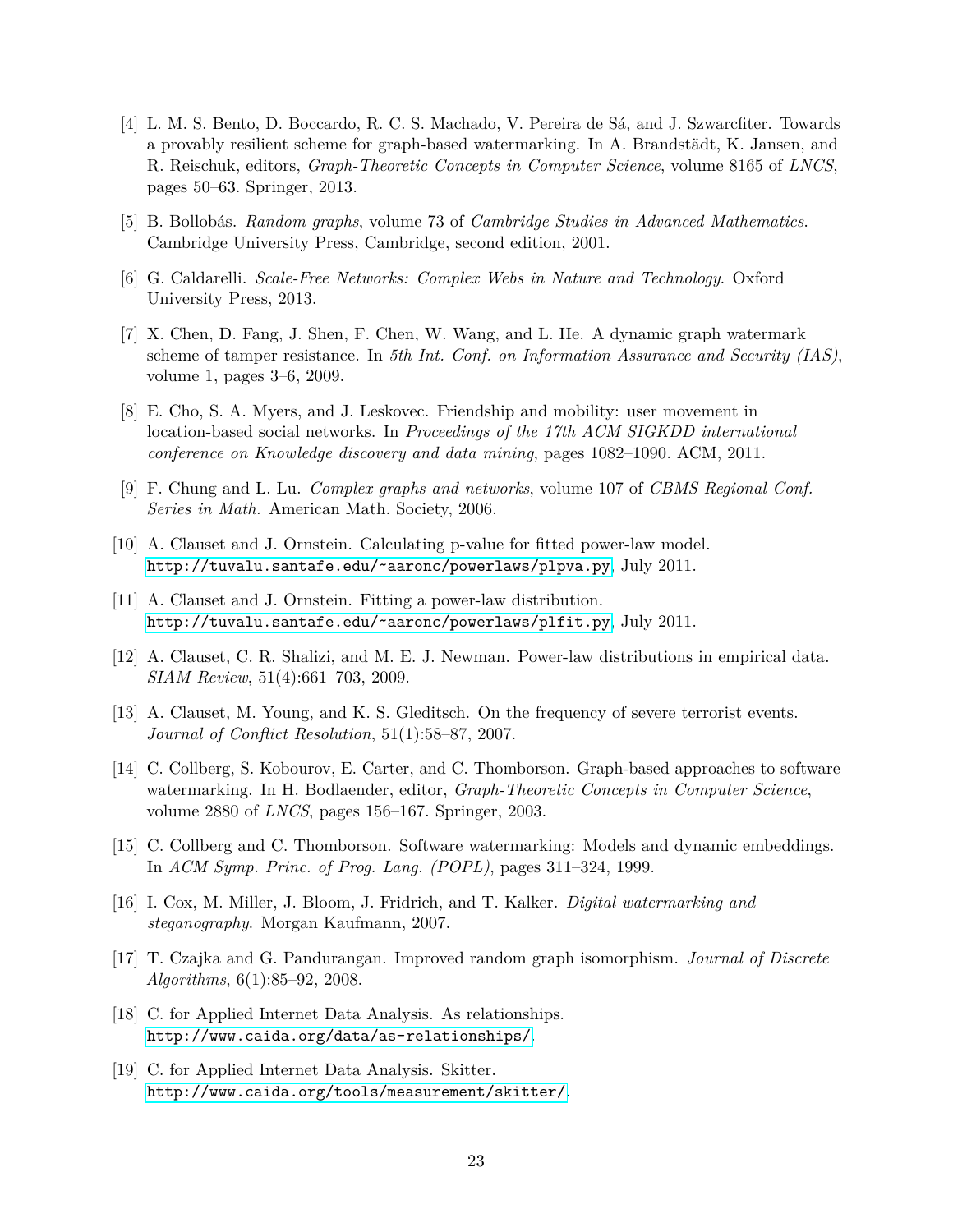- <span id="page-22-4"></span>[4] L. M. S. Bento, D. Boccardo, R. C. S. Machado, V. Pereira de Sá, and J. Szwarcfiter. Towards a provably resilient scheme for graph-based watermarking. In A. Brandstädt, K. Jansen, and R. Reischuk, editors, *Graph-Theoretic Concepts in Computer Science*, volume 8165 of *LNCS*, pages 50–63. Springer, 2013.
- <span id="page-22-7"></span>[5] B. Bollob´as. *Random graphs*, volume 73 of *Cambridge Studies in Advanced Mathematics*. Cambridge University Press, Cambridge, second edition, 2001.
- <span id="page-22-8"></span>[6] G. Caldarelli. *Scale-Free Networks: Complex Webs in Nature and Technology*. Oxford University Press, 2013.
- <span id="page-22-3"></span>[7] X. Chen, D. Fang, J. Shen, F. Chen, W. Wang, and L. He. A dynamic graph watermark scheme of tamper resistance. In *5th Int. Conf. on Information Assurance and Security (IAS)*, volume 1, pages 3–6, 2009.
- <span id="page-22-13"></span>[8] E. Cho, S. A. Myers, and J. Leskovec. Friendship and mobility: user movement in location-based social networks. In *Proceedings of the 17th ACM SIGKDD international conference on Knowledge discovery and data mining*, pages 1082–1090. ACM, 2011.
- <span id="page-22-6"></span>[9] F. Chung and L. Lu. *Complex graphs and networks*, volume 107 of *CBMS Regional Conf. Series in Math.* American Math. Society, 2006.
- <span id="page-22-10"></span>[10] A. Clauset and J. Ornstein. Calculating p-value for fitted power-law model. [http://tuvalu.santafe.edu/˜aaronc/powerlaws/plpva.py](http://tuvalu.santafe.edu/~aaronc/powerlaws/plpva.py), July 2011.
- <span id="page-22-11"></span>[11] A. Clauset and J. Ornstein. Fitting a power-law distribution. [http://tuvalu.santafe.edu/˜aaronc/powerlaws/plfit.py](http://tuvalu.santafe.edu/~aaronc/powerlaws/plfit.py), July 2011.
- <span id="page-22-9"></span>[12] A. Clauset, C. R. Shalizi, and M. E. J. Newman. Power-law distributions in empirical data. *SIAM Review*, 51(4):661–703, 2009.
- <span id="page-22-12"></span>[13] A. Clauset, M. Young, and K. S. Gleditsch. On the frequency of severe terrorist events. *Journal of Conflict Resolution*, 51(1):58–87, 2007.
- <span id="page-22-2"></span>[14] C. Collberg, S. Kobourov, E. Carter, and C. Thomborson. Graph-based approaches to software watermarking. In H. Bodlaender, editor, *Graph-Theoretic Concepts in Computer Science*, volume 2880 of *LNCS*, pages 156–167. Springer, 2003.
- <span id="page-22-1"></span>[15] C. Collberg and C. Thomborson. Software watermarking: Models and dynamic embeddings. In *ACM Symp. Princ. of Prog. Lang. (POPL)*, pages 311–324, 1999.
- <span id="page-22-0"></span>[16] I. Cox, M. Miller, J. Bloom, J. Fridrich, and T. Kalker. *Digital watermarking and steganography*. Morgan Kaufmann, 2007.
- <span id="page-22-5"></span>[17] T. Czajka and G. Pandurangan. Improved random graph isomorphism. *Journal of Discrete Algorithms*, 6(1):85–92, 2008.
- <span id="page-22-14"></span>[18] C. for Applied Internet Data Analysis. As relationships. <http://www.caida.org/data/as-relationships/>.
- <span id="page-22-15"></span>[19] C. for Applied Internet Data Analysis. Skitter. <http://www.caida.org/tools/measurement/skitter/>.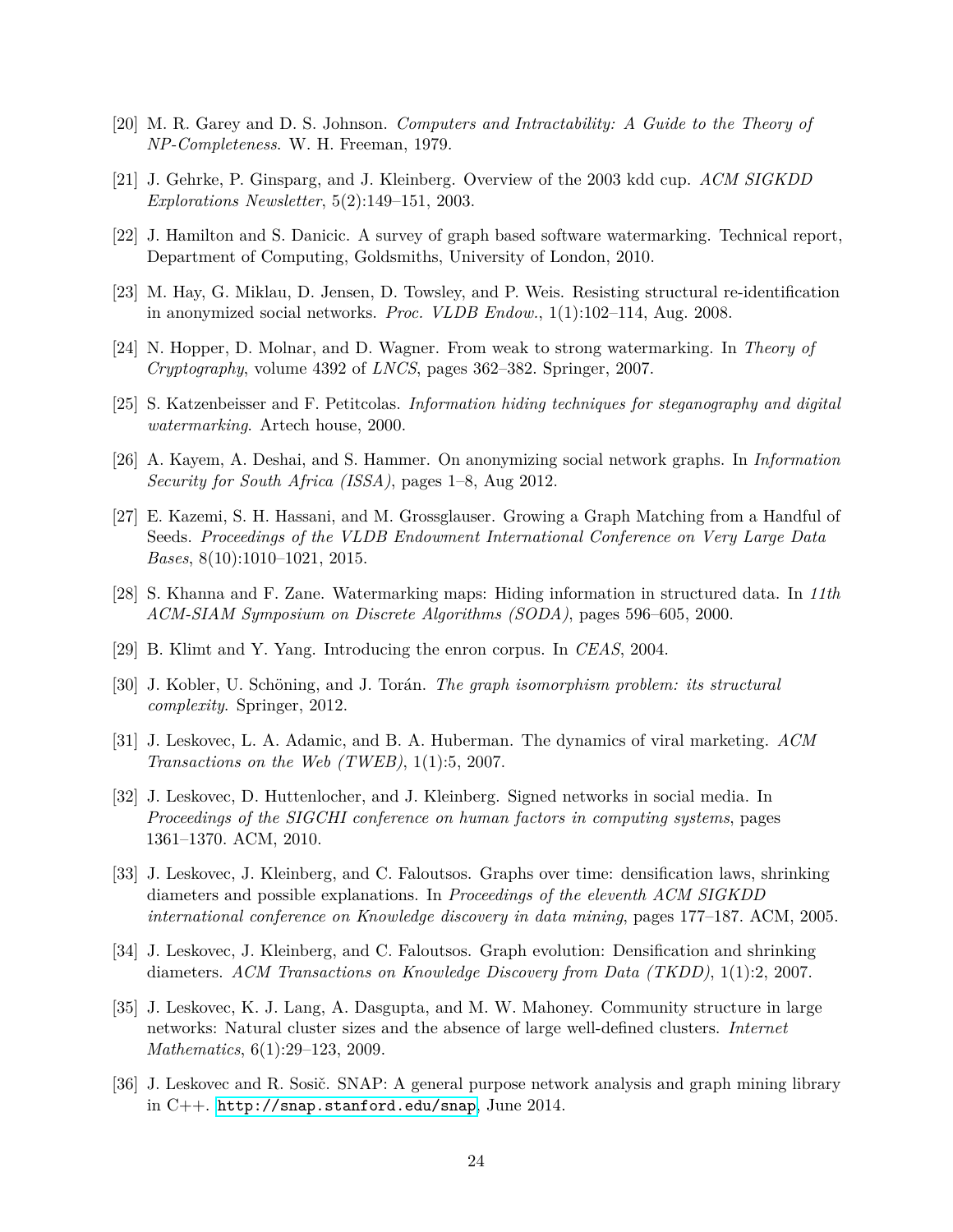- <span id="page-23-8"></span>[20] M. R. Garey and D. S. Johnson. *Computers and Intractability: A Guide to the Theory of NP-Completeness*. W. H. Freeman, 1979.
- <span id="page-23-12"></span>[21] J. Gehrke, P. Ginsparg, and J. Kleinberg. Overview of the 2003 kdd cup. *ACM SIGKDD Explorations Newsletter*, 5(2):149–151, 2003.
- <span id="page-23-2"></span>[22] J. Hamilton and S. Danicic. A survey of graph based software watermarking. Technical report, Department of Computing, Goldsmiths, University of London, 2010.
- <span id="page-23-3"></span>[23] M. Hay, G. Miklau, D. Jensen, D. Towsley, and P. Weis. Resisting structural re-identification in anonymized social networks. *Proc. VLDB Endow.*, 1(1):102–114, Aug. 2008.
- <span id="page-23-1"></span>[24] N. Hopper, D. Molnar, and D. Wagner. From weak to strong watermarking. In *Theory of Cryptography*, volume 4392 of *LNCS*, pages 362–382. Springer, 2007.
- <span id="page-23-0"></span>[25] S. Katzenbeisser and F. Petitcolas. *Information hiding techniques for steganography and digital watermarking*. Artech house, 2000.
- <span id="page-23-4"></span>[26] A. Kayem, A. Deshai, and S. Hammer. On anonymizing social network graphs. In *Information Security for South Africa (ISSA)*, pages 1–8, Aug 2012.
- <span id="page-23-6"></span>[27] E. Kazemi, S. H. Hassani, and M. Grossglauser. Growing a Graph Matching from a Handful of Seeds. *Proceedings of the VLDB Endowment International Conference on Very Large Data Bases*, 8(10):1010–1021, 2015.
- <span id="page-23-5"></span>[28] S. Khanna and F. Zane. Watermarking maps: Hiding information in structured data. In *11th ACM-SIAM Symposium on Discrete Algorithms (SODA)*, pages 596–605, 2000.
- <span id="page-23-14"></span>[29] B. Klimt and Y. Yang. Introducing the enron corpus. In *CEAS*, 2004.
- <span id="page-23-7"></span>[30] J. Kobler, U. Schöning, and J. Torán. *The graph isomorphism problem: its structural complexity*. Springer, 2012.
- <span id="page-23-16"></span>[31] J. Leskovec, L. A. Adamic, and B. A. Huberman. The dynamics of viral marketing. *ACM Transactions on the Web (TWEB)*, 1(1):5, 2007.
- <span id="page-23-15"></span>[32] J. Leskovec, D. Huttenlocher, and J. Kleinberg. Signed networks in social media. In *Proceedings of the SIGCHI conference on human factors in computing systems*, pages 1361–1370. ACM, 2010.
- <span id="page-23-11"></span>[33] J. Leskovec, J. Kleinberg, and C. Faloutsos. Graphs over time: densification laws, shrinking diameters and possible explanations. In *Proceedings of the eleventh ACM SIGKDD international conference on Knowledge discovery in data mining*, pages 177–187. ACM, 2005.
- <span id="page-23-13"></span>[34] J. Leskovec, J. Kleinberg, and C. Faloutsos. Graph evolution: Densification and shrinking diameters. *ACM Transactions on Knowledge Discovery from Data (TKDD)*, 1(1):2, 2007.
- <span id="page-23-10"></span>[35] J. Leskovec, K. J. Lang, A. Dasgupta, and M. W. Mahoney. Community structure in large networks: Natural cluster sizes and the absence of large well-defined clusters. *Internet Mathematics*, 6(1):29–123, 2009.
- <span id="page-23-9"></span>[36] J. Leskovec and R. Sosič. SNAP: A general purpose network analysis and graph mining library in C++. <http://snap.stanford.edu/snap>, June 2014.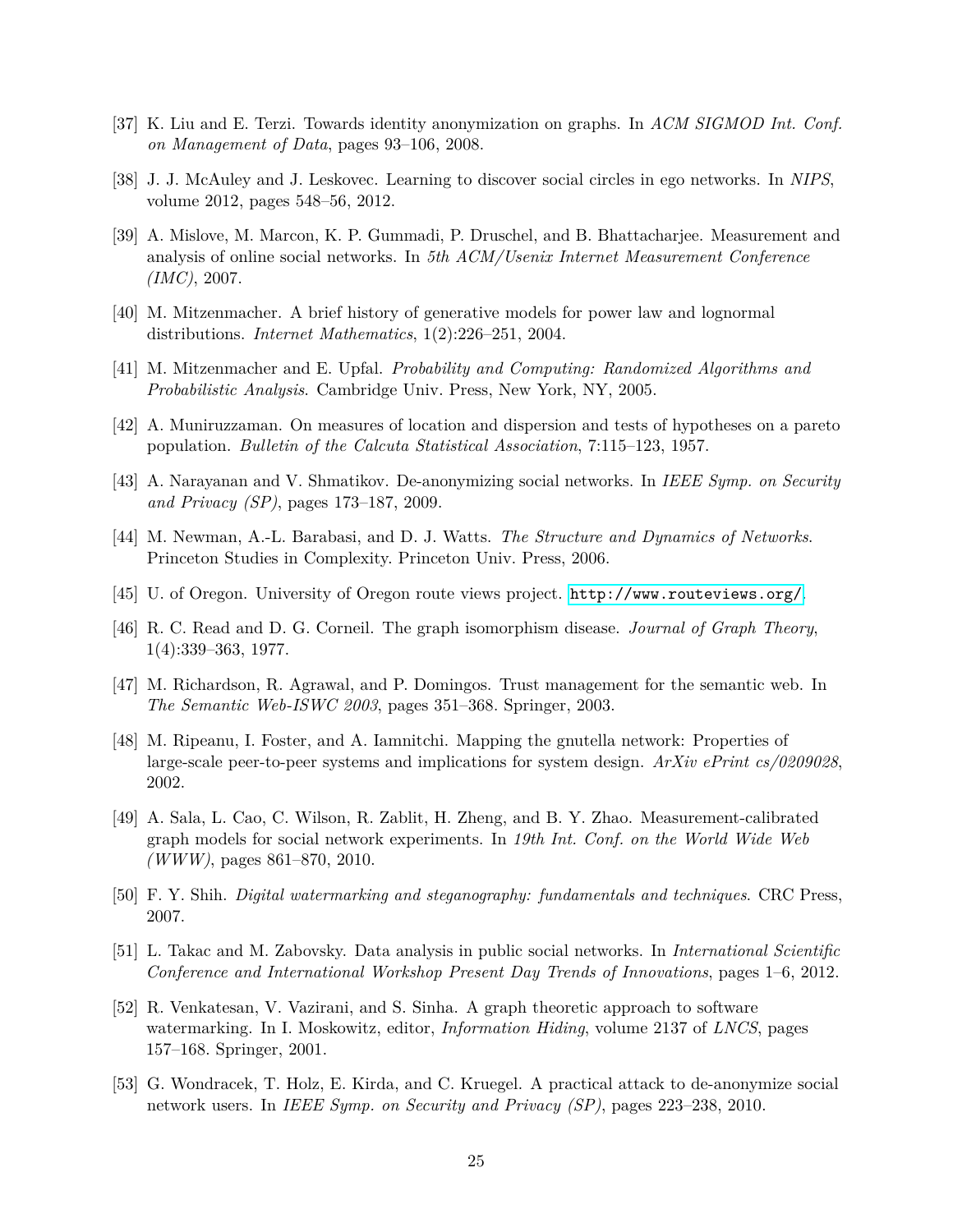- <span id="page-24-2"></span>[37] K. Liu and E. Terzi. Towards identity anonymization on graphs. In *ACM SIGMOD Int. Conf. on Management of Data*, pages 93–106, 2008.
- <span id="page-24-11"></span>[38] J. J. McAuley and J. Leskovec. Learning to discover social circles in ego networks. In *NIPS*, volume 2012, pages 548–56, 2012.
- <span id="page-24-9"></span>[39] A. Mislove, M. Marcon, K. P. Gummadi, P. Druschel, and B. Bhattacharjee. Measurement and analysis of online social networks. In *5th ACM/Usenix Internet Measurement Conference (IMC)*, 2007.
- <span id="page-24-6"></span>[40] M. Mitzenmacher. A brief history of generative models for power law and lognormal distributions. *Internet Mathematics*, 1(2):226–251, 2004.
- <span id="page-24-8"></span>[41] M. Mitzenmacher and E. Upfal. *Probability and Computing: Randomized Algorithms and Probabilistic Analysis*. Cambridge Univ. Press, New York, NY, 2005.
- <span id="page-24-10"></span>[42] A. Muniruzzaman. On measures of location and dispersion and tests of hypotheses on a pareto population. *Bulletin of the Calcuta Statistical Association*, 7:115–123, 1957.
- <span id="page-24-3"></span>[43] A. Narayanan and V. Shmatikov. De-anonymizing social networks. In *IEEE Symp. on Security and Privacy (SP)*, pages 173–187, 2009.
- <span id="page-24-7"></span>[44] M. Newman, A.-L. Barabasi, and D. J. Watts. *The Structure and Dynamics of Networks*. Princeton Studies in Complexity. Princeton Univ. Press, 2006.
- <span id="page-24-14"></span>[45] U. of Oregon. University of Oregon route views project. <http://www.routeviews.org/>.
- <span id="page-24-5"></span>[46] R. C. Read and D. G. Corneil. The graph isomorphism disease. *Journal of Graph Theory*, 1(4):339–363, 1977.
- <span id="page-24-12"></span>[47] M. Richardson, R. Agrawal, and P. Domingos. Trust management for the semantic web. In *The Semantic Web-ISWC 2003*, pages 351–368. Springer, 2003.
- <span id="page-24-15"></span>[48] M. Ripeanu, I. Foster, and A. Iamnitchi. Mapping the gnutella network: Properties of large-scale peer-to-peer systems and implications for system design. *ArXiv ePrint cs/0209028*, 2002.
- <span id="page-24-16"></span>[49] A. Sala, L. Cao, C. Wilson, R. Zablit, H. Zheng, and B. Y. Zhao. Measurement-calibrated graph models for social network experiments. In *19th Int. Conf. on the World Wide Web (WWW)*, pages 861–870, 2010.
- <span id="page-24-0"></span>[50] F. Y. Shih. *Digital watermarking and steganography: fundamentals and techniques*. CRC Press, 2007.
- <span id="page-24-13"></span>[51] L. Takac and M. Zabovsky. Data analysis in public social networks. In *International Scientific Conference and International Workshop Present Day Trends of Innovations*, pages 1–6, 2012.
- <span id="page-24-1"></span>[52] R. Venkatesan, V. Vazirani, and S. Sinha. A graph theoretic approach to software watermarking. In I. Moskowitz, editor, *Information Hiding*, volume 2137 of *LNCS*, pages 157–168. Springer, 2001.
- <span id="page-24-4"></span>[53] G. Wondracek, T. Holz, E. Kirda, and C. Kruegel. A practical attack to de-anonymize social network users. In *IEEE Symp. on Security and Privacy (SP)*, pages 223–238, 2010.